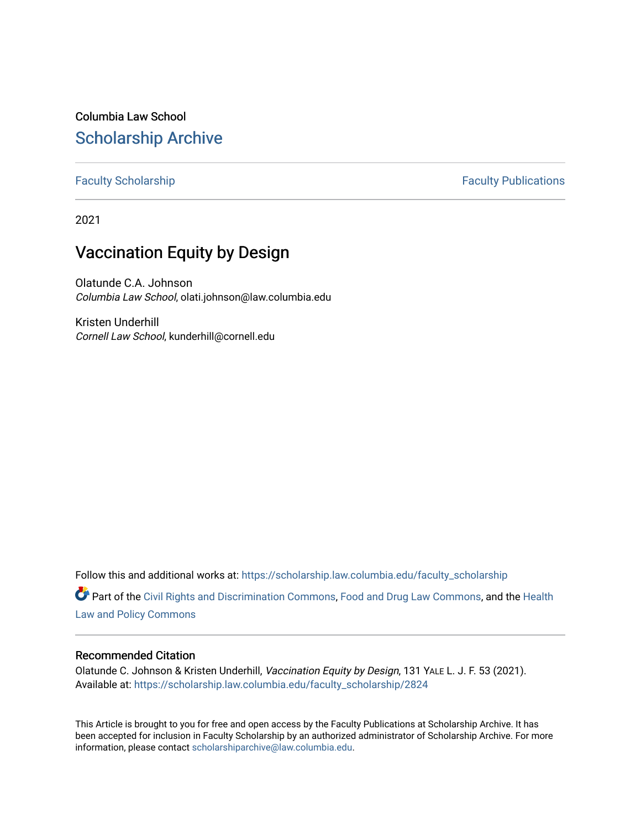Columbia Law School [Scholarship Archive](https://scholarship.law.columbia.edu/) 

[Faculty Scholarship](https://scholarship.law.columbia.edu/faculty_scholarship) **Faculty Scholarship Faculty Publications** 

2021

# Vaccination Equity by Design

Olatunde C.A. Johnson Columbia Law School, olati.johnson@law.columbia.edu

Kristen Underhill Cornell Law School, kunderhill@cornell.edu

Follow this and additional works at: [https://scholarship.law.columbia.edu/faculty\\_scholarship](https://scholarship.law.columbia.edu/faculty_scholarship?utm_source=scholarship.law.columbia.edu%2Ffaculty_scholarship%2F2824&utm_medium=PDF&utm_campaign=PDFCoverPages)

Part of the [Civil Rights and Discrimination Commons,](http://network.bepress.com/hgg/discipline/585?utm_source=scholarship.law.columbia.edu%2Ffaculty_scholarship%2F2824&utm_medium=PDF&utm_campaign=PDFCoverPages) [Food and Drug Law Commons,](http://network.bepress.com/hgg/discipline/844?utm_source=scholarship.law.columbia.edu%2Ffaculty_scholarship%2F2824&utm_medium=PDF&utm_campaign=PDFCoverPages) and the [Health](http://network.bepress.com/hgg/discipline/901?utm_source=scholarship.law.columbia.edu%2Ffaculty_scholarship%2F2824&utm_medium=PDF&utm_campaign=PDFCoverPages)  [Law and Policy Commons](http://network.bepress.com/hgg/discipline/901?utm_source=scholarship.law.columbia.edu%2Ffaculty_scholarship%2F2824&utm_medium=PDF&utm_campaign=PDFCoverPages)

# Recommended Citation

Olatunde C. Johnson & Kristen Underhill, Vaccination Equity by Design, 131 YALE L. J. F. 53 (2021). Available at: [https://scholarship.law.columbia.edu/faculty\\_scholarship/2824](https://scholarship.law.columbia.edu/faculty_scholarship/2824?utm_source=scholarship.law.columbia.edu%2Ffaculty_scholarship%2F2824&utm_medium=PDF&utm_campaign=PDFCoverPages)

This Article is brought to you for free and open access by the Faculty Publications at Scholarship Archive. It has been accepted for inclusion in Faculty Scholarship by an authorized administrator of Scholarship Archive. For more information, please contact [scholarshiparchive@law.columbia.edu.](mailto:scholarshiparchive@law.columbia.edu)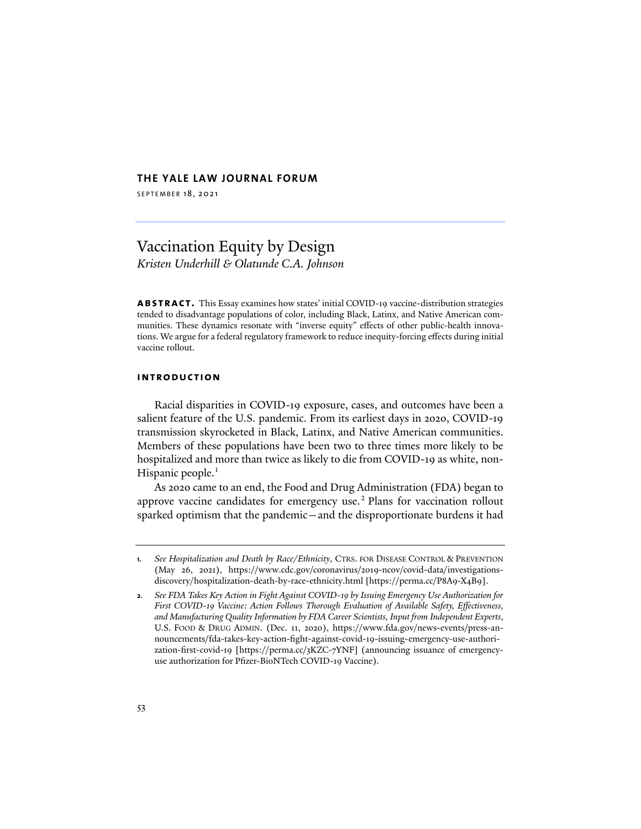# **THE YALE LAW JOURNAL FORUM**

SEPTEMBER 18, 2021

# Vaccination Equity by Design *Kristen Underhill & Olatunde C.A. Johnson*

**abstract.** This Essay examines how states' initial COVID-19 vaccine-distribution strategies tended to disadvantage populations of color, including Black, Latinx, and Native American communities. These dynamics resonate with "inverse equity" effects of other public-health innovations. We argue for a federal regulatory framework to reduce inequity-forcing effects during initial vaccine rollout.

### **introduction**

Racial disparities in COVID-19 exposure, cases, and outcomes have been a salient feature of the U.S. pandemic. From its earliest days in 2020, COVID-19 transmission skyrocketed in Black, Latinx, and Native American communities. Members of these populations have been two to three times more likely to be hospitalized and more than twice as likely to die from COVID-19 as white, non-Hispanic people.<sup>1</sup>

As 2020 came to an end, the Food and Drug Administration (FDA) began to approve vaccine candidates for emergency use.<sup>2</sup> Plans for vaccination rollout sparked optimism that the pandemic—and the disproportionate burdens it had

**<sup>1</sup>***. See Hospitalization and Death by Race/Ethnicity*, CTRS. FOR DISEASE CONTROL & PREVENTION (May 26, 2021), https://www.cdc.gov/coronavirus/2019-ncov/covid-data/investigationsdiscovery/hospitalization-death-by-race-ethnicity.html [https://perma.cc/P8A9-X4B9].

**<sup>2</sup>***. See FDA Takes Key Action in Fight Against COVID-19 by Issuing Emergency Use Authorization for First COVID-19 Vaccine: Action Follows Thorough Evaluation of Available Safety, Effectiveness, and Manufacturing Quality Information by FDA Career Scientists, Input from Independent Experts*, U.S. FOOD & DRUG ADMIN. (Dec. 11, 2020), [https://www.fda.gov/news-events/press-an](https://www.fda.gov/news-events/press-announcements/fda-takes-key-action-fight-against-covid-19-issuing-emergency-use-authorization-first-covid-19)[nouncements/fda-takes-key-action-fight-against-covid-19-issuing-emergency-use-authori](https://www.fda.gov/news-events/press-announcements/fda-takes-key-action-fight-against-covid-19-issuing-emergency-use-authorization-first-covid-19)zation[-first-covid-19](https://www.fda.gov/news-events/press-announcements/fda-takes-key-action-fight-against-covid-19-issuing-emergency-use-authorization-first-covid-19) [https://perma.cc/3KZC-7YNF] (announcing issuance of emergencyuse authorization for Pfizer-BioNTech COVID-19 Vaccine).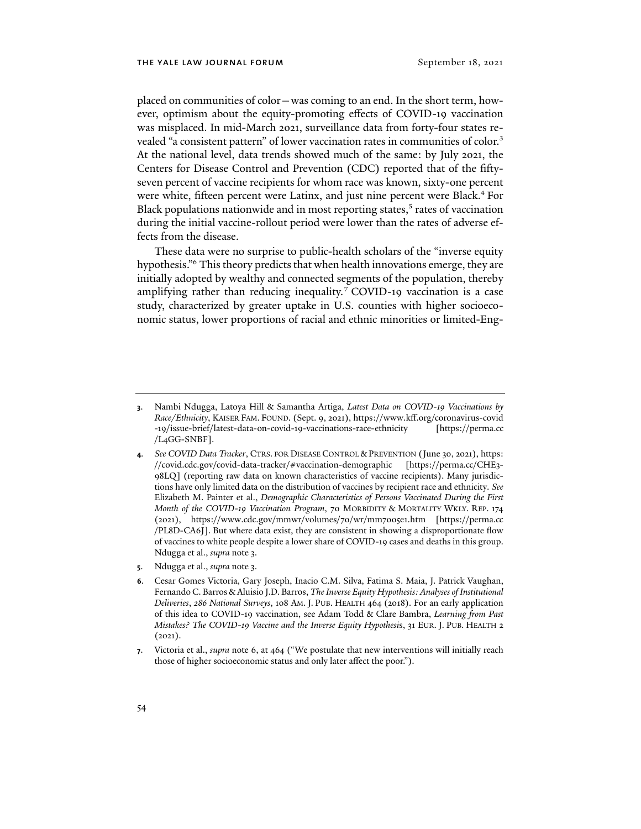placed on communities of color—was coming to an end. In the short term, however, optimism about the equity-promoting effects of COVID-19 vaccination was misplaced. In mid-March 2021, surveillance data from forty-four states revealed "a consistent pattern" of lower vaccination rates in communities of color.<sup>3</sup> At the national level, data trends showed much of the same: by July 2021, the Centers for Disease Control and Prevention (CDC) reported that of the fiftyseven percent of vaccine recipients for whom race was known, sixty-one percent were white, fifteen percent were Latinx, and just nine percent were Black.<sup>4</sup> For Black populations nationwide and in most reporting states,<sup>5</sup> rates of vaccination during the initial vaccine-rollout period were lower than the rates of adverse effects from the disease.

These data were no surprise to public-health scholars of the "inverse equity hypothesis."6 This theory predicts that when health innovations emerge, they are initially adopted by wealthy and connected segments of the population, thereby amplifying rather than reducing inequality.<sup>7</sup> COVID-19 vaccination is a case study, characterized by greater uptake in U.S. counties with higher socioeconomic status, lower proportions of racial and ethnic minorities or limited-Eng-

**5**. Ndugga et al., *supra* note 3.

**<sup>3</sup>**. Nambi Ndugga, Latoya Hill & Samantha Artiga, *Latest Data on COVID-19 Vaccinations by Race/Ethnicity*, KAISER FAM. FOUND. (Sept. 9, 2021)[, https://www.kff.org/coronavirus-covid](https://www.kff.org/coronavirus-covid-19/issue-brief/latest-data-on-covid-19-vaccinations-race-ethnicity/) [-19/issue-brief/latest-data-on-covid-19-vaccinations-race-ethnicity](https://www.kff.org/coronavirus-covid-19/issue-brief/latest-data-on-covid-19-vaccinations-race-ethnicity/) [https://perma.cc /L4GG-SNBF].

**<sup>4</sup>***. See COVID Data Tracker*, CTRS. FOR DISEASE CONTROL & PREVENTION (June 30, 2021), [https:](https://covid.cdc.gov/covid-data-tracker/#vaccination-demographic) [//covid.cdc.gov/covid-data-tracker/#vaccination-demographic](https://covid.cdc.gov/covid-data-tracker/#vaccination-demographic) [https://perma.cc/CHE3- 98LQ] (reporting raw data on known characteristics of vaccine recipients). Many jurisdictions have only limited data on the distribution of vaccines by recipient race and ethnicity*. See*  Elizabeth M. Painter et al., *Demographic Characteristics of Persons Vaccinated During the First Month of the COVID-19 Vaccination Program*, 70 MORBIDITY & MORTALITY WKLY. REP. 174 (2021), https://www.cdc.gov/mmwr/volumes/70/wr/mm7005e1.htm [https://perma.cc /PL8D-CA6J]. But where data exist, they are consistent in showing a disproportionate flow of vaccines to white people despite a lower share of COVID-19 cases and deaths in this group. Ndugga et al., *supra* note 3.

**<sup>6</sup>**. Cesar Gomes Victoria, Gary Joseph, Inacio C.M. Silva, Fatima S. Maia, J. Patrick Vaughan, Fernando C. Barros & Aluisio J.D. Barros, *The Inverse Equity Hypothesis: Analyses of Institutional Deliveries*, *286 National Surveys*, 108 AM. J. PUB. HEALTH 464 (2018). For an early application of this idea to COVID-19 vaccination, see Adam Todd & Clare Bambra, *Learning from Past Mistakes? The COVID-19 Vaccine and the Inverse Equity Hypothesi*s, 31 EUR. J. PUB. HEALTH 2  $(2021).$ 

**<sup>7</sup>**. Victoria et al., *supra* note 6, at 464 ("We postulate that new interventions will initially reach those of higher socioeconomic status and only later affect the poor.").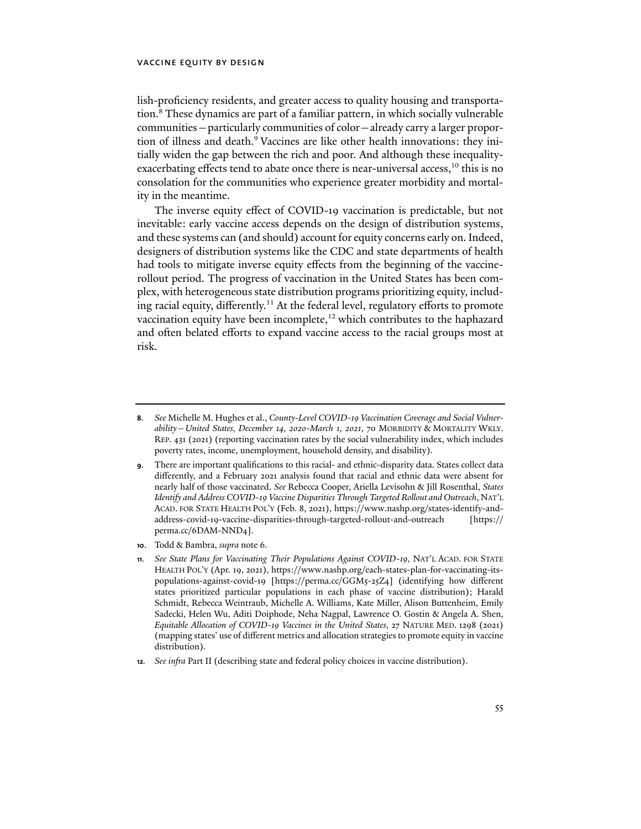lish-proficiency residents, and greater access to quality housing and transportation.8 These dynamics are part of a familiar pattern, in which socially vulnerable communities—particularly communities of color—already carry a larger proportion of illness and death.<sup>9</sup> Vaccines are like other health innovations: they initially widen the gap between the rich and poor. And although these inequalityexacerbating effects tend to abate once there is near-universal access,<sup>10</sup> this is no consolation for the communities who experience greater morbidity and mortality in the meantime.

The inverse equity effect of COVID-19 vaccination is predictable, but not inevitable: early vaccine access depends on the design of distribution systems, and these systems can (and should) account for equity concerns early on. Indeed, designers of distribution systems like the CDC and state departments of health had tools to mitigate inverse equity effects from the beginning of the vaccinerollout period. The progress of vaccination in the United States has been complex, with heterogeneous state distribution programs prioritizing equity, including racial equity, differently.<sup>11</sup> At the federal level, regulatory efforts to promote vaccination equity have been incomplete,<sup>12</sup> which contributes to the haphazard and often belated efforts to expand vaccine access to the racial groups most at risk.

**<sup>8</sup>***. See* Michelle M. Hughes et al., *County-Level COVID-19 Vaccination Coverage and Social Vulnerability—United States, December 14, 2020-March 1, 2021*, 70 MORBIDITY & MORTALITY WKLY. REP. 431 (2021) (reporting vaccination rates by the social vulnerability index, which includes poverty rates, income, unemployment, household density, and disability).

**<sup>9</sup>**. There are important qualifications to this racial- and ethnic-disparity data. States collect data differently, and a February 2021 analysis found that racial and ethnic data were absent for nearly half of those vaccinated. *See* Rebecca Cooper, Ariella Levisohn & Jill Rosenthal, *States Identify and Address COVID-19 Vaccine Disparities Through Targeted Rollout and Outreach*, NAT'L ACAD. FOR STATE HEALTH POL'Y (Feb. 8, 2021), https://www.nashp.org/states-identify-andaddress-covid-19-vaccine-disparities-through-targeted-rollout-and-outreach [https:// perma.cc/6DAM-NND4].

**<sup>10</sup>**. Todd & Bambra, *supra* note 6.

**<sup>11</sup>***. See State Plans for Vaccinating Their Populations Against COVID-19*, NAT'L ACAD. FOR STATE HEALTH POL'Y (Apr. 19, 2021), https://www.nashp.org/each-states-plan-for-vaccinating-itspopulations-against-covid-19 [https://perma.cc/GGM5-25Z4] (identifying how different states prioritized particular populations in each phase of vaccine distribution); Harald Schmidt, Rebecca Weintraub, Michelle A. Williams, Kate Miller, Alison Buttenheim, Emily Sadecki, Helen Wu, Aditi Doiphode, Neha Nagpal, Lawrence O. Gostin & Angela A. Shen, *Equitable Allocation of COVID-19 Vaccines in the United States*, 27 NATURE MED. 1298 (2021) (mapping states' use of different metrics and allocation strategies to promote equity in vaccine distribution).

**<sup>12</sup>***. See infra* Part II (describing state and federal policy choices in vaccine distribution).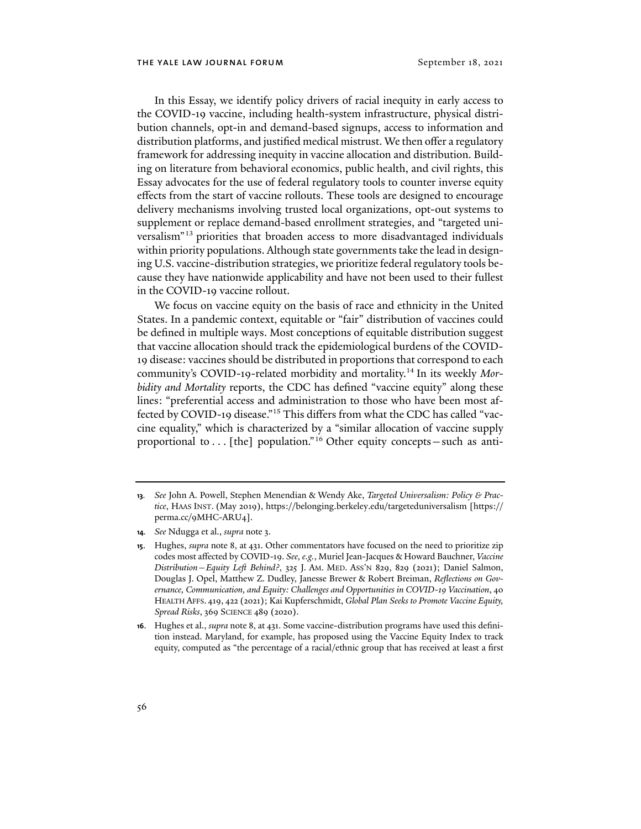In this Essay, we identify policy drivers of racial inequity in early access to the COVID-19 vaccine, including health-system infrastructure, physical distribution channels, opt-in and demand-based signups, access to information and distribution platforms, and justified medical mistrust. We then offer a regulatory framework for addressing inequity in vaccine allocation and distribution. Building on literature from behavioral economics, public health, and civil rights, this Essay advocates for the use of federal regulatory tools to counter inverse equity effects from the start of vaccine rollouts. These tools are designed to encourage delivery mechanisms involving trusted local organizations, opt-out systems to supplement or replace demand-based enrollment strategies, and "targeted universalism"13 priorities that broaden access to more disadvantaged individuals within priority populations. Although state governments take the lead in designing U.S. vaccine-distribution strategies, we prioritize federal regulatory tools because they have nationwide applicability and have not been used to their fullest in the COVID-19 vaccine rollout.

We focus on vaccine equity on the basis of race and ethnicity in the United States. In a pandemic context, equitable or "fair" distribution of vaccines could be defined in multiple ways. Most conceptions of equitable distribution suggest that vaccine allocation should track the epidemiological burdens of the COVID-19 disease: vaccines should be distributed in proportions that correspond to each community's COVID-19-related morbidity and mortality.14 In its weekly *Morbidity and Mortality* reports, the CDC has defined "vaccine equity" along these lines: "preferential access and administration to those who have been most affected by COVID-19 disease."15 This differs from what the CDC has called "vaccine equality," which is characterized by a "similar allocation of vaccine supply proportional to . . . [the] population."<sup>16</sup> Other equity concepts-such as anti-

**<sup>13</sup>***. See* John A. Powell, Stephen Menendian & Wendy Ake, *Targeted Universalism: Policy & Practice*, HAAS INST. (May 2019), https://belonging.berkeley.edu/targeteduniversalism [https:// perma.cc/9MHC-ARU4].

**<sup>14</sup>***. See* Ndugga et al., *supra* note 3.

**<sup>15</sup>**. Hughes, *supra* note 8, at 431. Other commentators have focused on the need to prioritize zip codes most affected by COVID-19. *See, e.g.*, Muriel Jean-Jacques & Howard Bauchner, *Vaccine Distribution—Equity Left Behind?*, 325 J. AM. MED. ASS'N 829, 829 (2021); Daniel Salmon, Douglas J. Opel, Matthew Z. Dudley, Janesse Brewer & Robert Breiman, *Reflections on Governance, Communication, and Equity: Challenges and Opportunities in COVID-19 Vaccination*, 40 HEALTH AFFS. 419, 422 (2021); Kai Kupferschmidt, *Global Plan Seeks to Promote Vaccine Equity, Spread Risks*, 369 SCIENCE 489 (2020).

**<sup>16</sup>**. Hughes et al., *supra* note 8, at 431. Some vaccine-distribution programs have used this definition instead. Maryland, for example, has proposed using the Vaccine Equity Index to track equity, computed as "the percentage of a racial/ethnic group that has received at least a first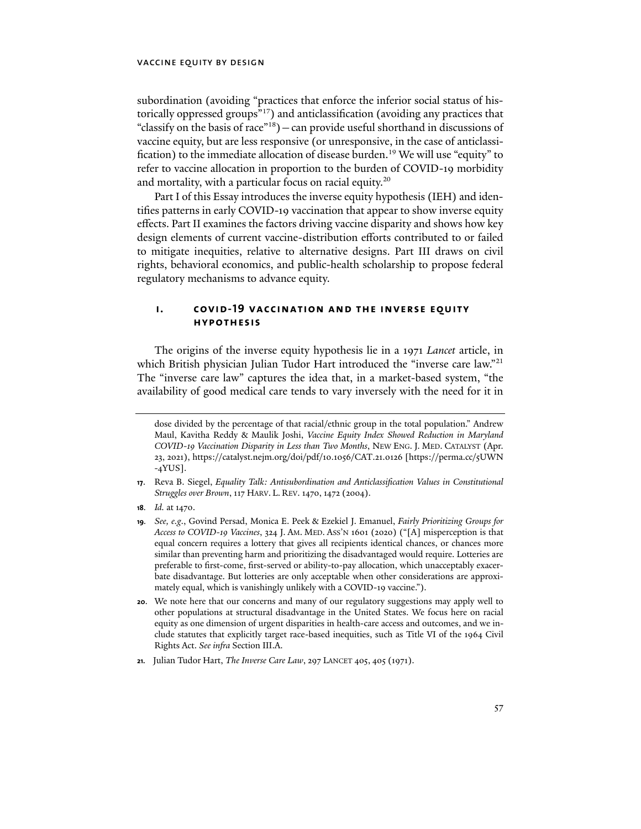subordination (avoiding "practices that enforce the inferior social status of historically oppressed groups"17) and anticlassification (avoiding any practices that "classify on the basis of race"<sup>18</sup>) — can provide useful shorthand in discussions of vaccine equity, but are less responsive (or unresponsive, in the case of anticlassification) to the immediate allocation of disease burden.<sup>19</sup> We will use "equity" to refer to vaccine allocation in proportion to the burden of COVID-19 morbidity and mortality, with a particular focus on racial equity.<sup>20</sup>

Part I of this Essay introduces the inverse equity hypothesis (IEH) and identifies patterns in early COVID-19 vaccination that appear to show inverse equity effects. Part II examines the factors driving vaccine disparity and shows how key design elements of current vaccine-distribution efforts contributed to or failed to mitigate inequities, relative to alternative designs. Part III draws on civil rights, behavioral economics, and public-health scholarship to propose federal regulatory mechanisms to advance equity.

# **i. covid-19 vaccination and the inverse equity hypothesis**

The origins of the inverse equity hypothesis lie in a 1971 *Lancet* article, in which British physician Julian Tudor Hart introduced the "inverse care law."<sup>21</sup> The "inverse care law" captures the idea that, in a market-based system, "the availability of good medical care tends to vary inversely with the need for it in

dose divided by the percentage of that racial/ethnic group in the total population." Andrew Maul, Kavitha Reddy & Maulik Joshi, *Vaccine Equity Index Showed Reduction in Maryland COVID-19 Vaccination Disparity in Less than Two Months*, NEW ENG. J. MED. CATALYST (Apr. 23, 2021), https://catalyst.nejm.org/doi/pdf/10.1056/CAT.21.0126 [https://perma.cc/5UWN -4YUS].

**<sup>17</sup>**. Reva B. Siegel, *Equality Talk: Antisubordination and Anticlassification Values in Constitutional Struggles over Brown*, 117 HARV. L. REV. 1470, 1472 (2004).

**<sup>18</sup>***. Id.* at 1470.

**<sup>19</sup>***. See, e.g*., Govind Persad, Monica E. Peek & Ezekiel J. Emanuel, *Fairly Prioritizing Groups for Access to COVID-19 Vaccines*, 324 J. AM. MED. ASS'N 1601 (2020) ("[A] misperception is that equal concern requires a lottery that gives all recipients identical chances, or chances more similar than preventing harm and prioritizing the disadvantaged would require. Lotteries are preferable to first-come, first-served or ability-to-pay allocation, which unacceptably exacerbate disadvantage. But lotteries are only acceptable when other considerations are approximately equal, which is vanishingly unlikely with a COVID-19 vaccine.").

**<sup>20</sup>**. We note here that our concerns and many of our regulatory suggestions may apply well to other populations at structural disadvantage in the United States. We focus here on racial equity as one dimension of urgent disparities in health-care access and outcomes, and we include statutes that explicitly target race-based inequities, such as Title VI of the 1964 Civil Rights Act. *See infra* Section III.A.

**<sup>21.</sup>** Julian Tudor Hart, *The Inverse Care Law*, 297 LANCET 405, 405 (1971).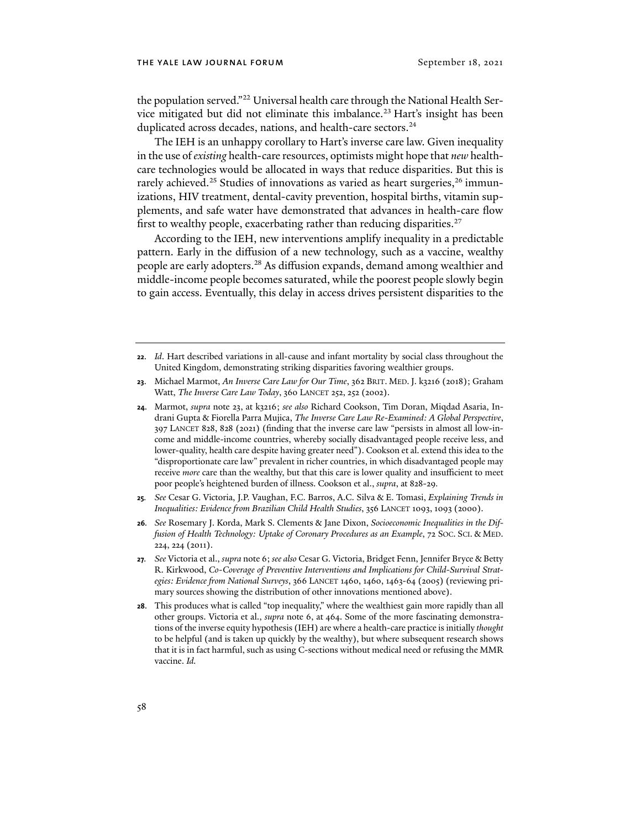the population served."<sup>22</sup> Universal health care through the National Health Service mitigated but did not eliminate this imbalance.<sup>23</sup> Hart's insight has been duplicated across decades, nations, and health-care sectors.<sup>24</sup>

The IEH is an unhappy corollary to Hart's inverse care law. Given inequality in the use of *existing* health-care resources, optimists might hope that *new* healthcare technologies would be allocated in ways that reduce disparities. But this is rarely achieved.<sup>25</sup> Studies of innovations as varied as heart surgeries,<sup>26</sup> immunizations, HIV treatment, dental-cavity prevention, hospital births, vitamin supplements, and safe water have demonstrated that advances in health-care flow first to wealthy people, exacerbating rather than reducing disparities. $27$ 

According to the IEH, new interventions amplify inequality in a predictable pattern. Early in the diffusion of a new technology, such as a vaccine, wealthy people are early adopters.28 As diffusion expands, demand among wealthier and middle-income people becomes saturated, while the poorest people slowly begin to gain access. Eventually, this delay in access drives persistent disparities to the

- **25***. See* Cesar G. Victoria, J.P. Vaughan, F.C. Barros, A.C. Silva & E. Tomasi, *Explaining Trends in Inequalities: Evidence from Brazilian Child Health Studies*, 356 LANCET 1093, 1093 (2000).
- **26***. See* Rosemary J. Korda, Mark S. Clements & Jane Dixon, *Socioeconomic Inequalities in the Diffusion of Health Technology: Uptake of Coronary Procedures as an Example*, 72 SOC. SCI. & MED. 224, 224 (2011).
- **27***. See* Victoria et al., *supra* note 6; *see also* Cesar G. Victoria, Bridget Fenn, Jennifer Bryce & Betty R. Kirkwood, *Co-Coverage of Preventive Interventions and Implications for Child-Survival Strategies: Evidence from National Surveys*, 366 LANCET 1460, 1460, 1463-64 (2005) (reviewing primary sources showing the distribution of other innovations mentioned above).
- **28**. This produces what is called "top inequality," where the wealthiest gain more rapidly than all other groups. Victoria et al., *supra* note 6, at 464. Some of the more fascinating demonstrations of the inverse equity hypothesis (IEH) are where a health-care practice is initially *thought*  to be helpful (and is taken up quickly by the wealthy), but where subsequent research shows that it is in fact harmful, such as using C-sections without medical need or refusing the MMR vaccine. *Id.*

**<sup>22</sup>**. *Id*. Hart described variations in all-cause and infant mortality by social class throughout the United Kingdom, demonstrating striking disparities favoring wealthier groups.

<sup>23.</sup> Michael Marmot, *An Inverse Care Law for Our Time*, 362 BRIT. MED. J. k3216 (2018); Graham Watt, *The Inverse Care Law Today*, 360 LANCET 252, 252 (2002).

**<sup>24</sup>**. Marmot, *supra* note 23, at k3216; *see also* Richard Cookson, Tim Doran, Miqdad Asaria, Indrani Gupta & Fiorella Parra Mujica, *The Inverse Care Law Re-Examined: A Global Perspective*, 397 LANCET 828, 828 (2021) (finding that the inverse care law "persists in almost all low-income and middle-income countries, whereby socially disadvantaged people receive less, and lower-quality, health care despite having greater need"). Cookson et al. extend this idea to the "disproportionate care law" prevalent in richer countries, in which disadvantaged people may receive *more* care than the wealthy, but that this care is lower quality and insufficient to meet poor people's heightened burden of illness. Cookson et al., *supra*, at 828-29*.*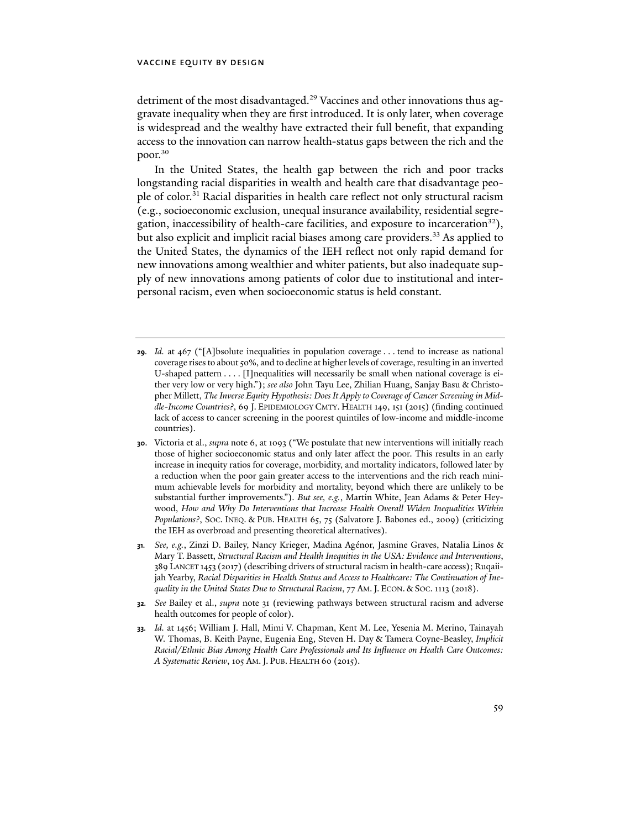detriment of the most disadvantaged.<sup>29</sup> Vaccines and other innovations thus aggravate inequality when they are first introduced. It is only later, when coverage is widespread and the wealthy have extracted their full benefit, that expanding access to the innovation can narrow health-status gaps between the rich and the poor.<sup>30</sup>

In the United States, the health gap between the rich and poor tracks longstanding racial disparities in wealth and health care that disadvantage people of color.31 Racial disparities in health care reflect not only structural racism (e.g., socioeconomic exclusion, unequal insurance availability, residential segregation, inaccessibility of health-care facilities, and exposure to incarceration $^{32}$ ), but also explicit and implicit racial biases among care providers.<sup>33</sup> As applied to the United States, the dynamics of the IEH reflect not only rapid demand for new innovations among wealthier and whiter patients, but also inadequate supply of new innovations among patients of color due to institutional and interpersonal racism, even when socioeconomic status is held constant.

- **29***. Id.* at 467 ("[A]bsolute inequalities in population coverage . . . tend to increase as national coverage rises to about 50%, and to decline at higher levels of coverage, resulting in an inverted U-shaped pattern . . . . [I]nequalities will necessarily be small when national coverage is either very low or very high."); *see also* John Tayu Lee, Zhilian Huang, Sanjay Basu & Christopher Millett, *The Inverse Equity Hypothesis: Does It Apply to Coverage of Cancer Screening in Middle-Income Countries?*, 69 J. EPIDEMIOLOGY CMTY. HEALTH 149, 151 (2015) (finding continued lack of access to cancer screening in the poorest quintiles of low-income and middle-income countries).
- **30**. Victoria et al., *supra* note 6, at 1093 ("We postulate that new interventions will initially reach those of higher socioeconomic status and only later affect the poor. This results in an early increase in inequity ratios for coverage, morbidity, and mortality indicators, followed later by a reduction when the poor gain greater access to the interventions and the rich reach minimum achievable levels for morbidity and mortality, beyond which there are unlikely to be substantial further improvements."). *But see, e.g.*, Martin White, Jean Adams & Peter Heywood, *How and Why Do Interventions that Increase Health Overall Widen Inequalities Within Populations?*, SOC. INEQ. & PUB. HEALTH 65, 75 (Salvatore J. Babones ed., 2009) (criticizing the IEH as overbroad and presenting theoretical alternatives).
- **31***. See, e.g.*, Zinzi D. Bailey, Nancy Krieger, Madina Agénor, Jasmine Graves, Natalia Linos & Mary T. Bassett, *Structural Racism and Health Inequities in the USA: Evidence and Interventions*, 389 LANCET 1453 (2017) (describing drivers of structural racism in health-care access); Ruqaiijah Yearby, *Racial Disparities in Health Status and Access to Healthcare: The Continuation of Inequality in the United States Due to Structural Racism*, 77 AM.J. ECON. & SOC. 1113 (2018).
- **32***. See* Bailey et al., *supra* note 31 (reviewing pathways between structural racism and adverse health outcomes for people of color).
- **33***. Id.* at 1456; William J. Hall, Mimi V. Chapman, Kent M. Lee, Yesenia M. Merino, Tainayah W. Thomas, B. Keith Payne, Eugenia Eng, Steven H. Day & Tamera Coyne-Beasley, *Implicit Racial/Ethnic Bias Among Health Care Professionals and Its Influence on Health Care Outcomes: A Systematic Review*, 105 AM.J. PUB. HEALTH 60 (2015).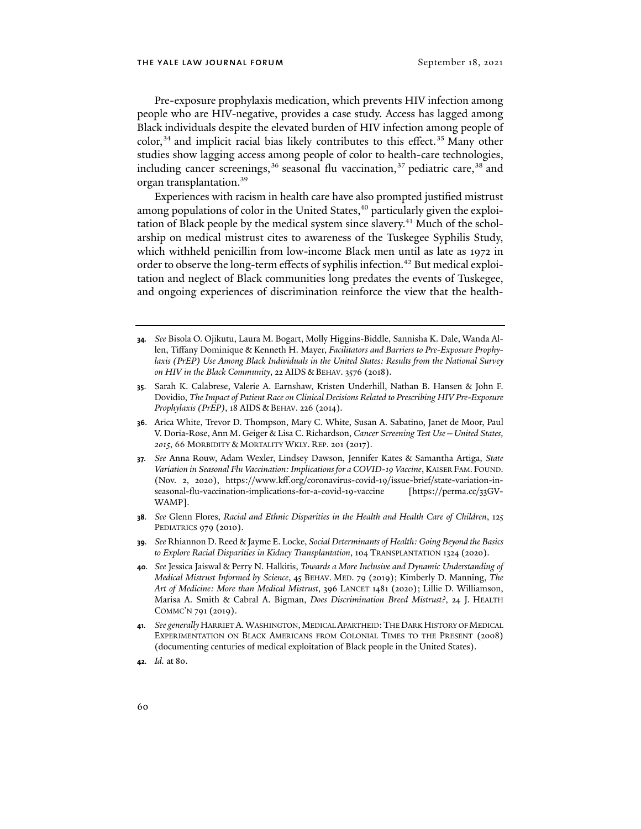Pre-exposure prophylaxis medication, which prevents HIV infection among people who are HIV-negative, provides a case study. Access has lagged among Black individuals despite the elevated burden of HIV infection among people of  $color<sub>34</sub>$  and implicit racial bias likely contributes to this effect.<sup>35</sup> Many other studies show lagging access among people of color to health-care technologies, including cancer screenings,  $36$  seasonal flu vaccination,  $37$  pediatric care,  $38$  and organ transplantation.39

Experiences with racism in health care have also prompted justified mistrust among populations of color in the United States,<sup>40</sup> particularly given the exploitation of Black people by the medical system since slavery.<sup>41</sup> Much of the scholarship on medical mistrust cites to awareness of the Tuskegee Syphilis Study, which withheld penicillin from low-income Black men until as late as 1972 in order to observe the long-term effects of syphilis infection.<sup>42</sup> But medical exploitation and neglect of Black communities long predates the events of Tuskegee, and ongoing experiences of discrimination reinforce the view that the health-

- **34***. See* Bisola O. Ojikutu, Laura M. Bogart, Molly Higgins-Biddle, Sannisha K. Dale, Wanda Allen, Tiffany Dominique & Kenneth H. Mayer, *Facilitators and Barriers to Pre-Exposure Prophy*laxis (PrEP) Use Among Black Individuals in the United States: Results from the National Survey *on HIV in the Black Community*, 22 AIDS & BEHAV. 3576 (2018).
- **35**. Sarah K. Calabrese, Valerie A. Earnshaw, Kristen Underhill, Nathan B. Hansen & John F. Dovidio, *The Impact of Patient Race on Clinical Decisions Related to Prescribing HIV Pre-Exposure Prophylaxis (PrEP)*, 18 AIDS & BEHAV. 226 (2014).
- **36**. Arica White, Trevor D. Thompson, Mary C. White, Susan A. Sabatino, Janet de Moor, Paul V. Doria-Rose, Ann M. Geiger & Lisa C. Richardson, *Cancer Screening Test Use—United States, 2015*, 66 MORBIDITY & MORTALITY WKLY. REP. 201 (2017).
- **37***. See* Anna Rouw, Adam Wexler, Lindsey Dawson, Jennifer Kates & Samantha Artiga, *State Variation in Seasonal Flu Vaccination: Implications for a COVID-19 Vaccine*, KAISER FAM. FOUND. (Nov. 2, 2020), https://www.kff.org/coronavirus-covid-19/issue-brief/state-variation-inseasonal-flu-vaccination-implications-for-a-covid-19-vaccine [https://perma.cc/33GV-WAMP].
- **38***. See* Glenn Flores, *Racial and Ethnic Disparities in the Health and Health Care of Children*, 125 PEDIATRICS 979 (2010).
- **39***. See* Rhiannon D. Reed & Jayme E. Locke, *Social Determinants of Health: Going Beyond the Basics to Explore Racial Disparities in Kidney Transplantation*, 104 TRANSPLANTATION 1324 (2020).
- **40***. See* Jessica Jaiswal & Perry N. Halkitis, *Towards a More Inclusive and Dynamic Understanding of Medical Mistrust Informed by Science*, 45 BEHAV. MED. 79 (2019); Kimberly D. Manning, *The Art of Medicine: More than Medical Mistrust*, 396 LANCET 1481 (2020); Lillie D. Williamson, Marisa A. Smith & Cabral A. Bigman, *Does Discrimination Breed Mistrust?*, 24 J. HEALTH COMMC'N 791 (2019).
- **41***. See generally*HARRIET A.WASHINGTON,MEDICAL APARTHEID:THE DARK HISTORY OF MEDICAL EXPERIMENTATION ON BLACK AMERICANS FROM COLONIAL TIMES TO THE PRESENT (2008) (documenting centuries of medical exploitation of Black people in the United States).
- **42***. Id.* at 80.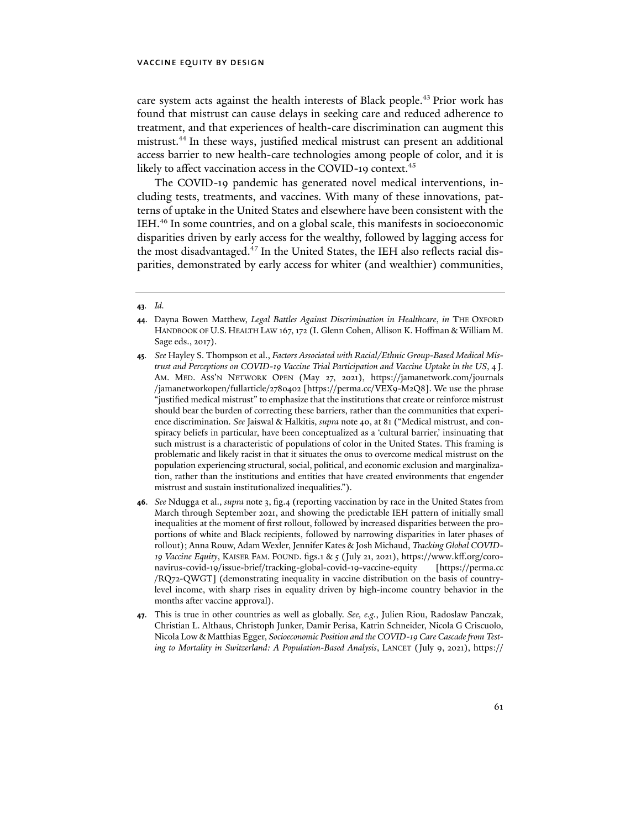care system acts against the health interests of Black people.<sup>43</sup> Prior work has found that mistrust can cause delays in seeking care and reduced adherence to treatment, and that experiences of health-care discrimination can augment this mistrust.44 In these ways, justified medical mistrust can present an additional access barrier to new health-care technologies among people of color, and it is likely to affect vaccination access in the COVID-19 context.<sup>45</sup>

The COVID-19 pandemic has generated novel medical interventions, including tests, treatments, and vaccines. With many of these innovations, patterns of uptake in the United States and elsewhere have been consistent with the IEH.46 In some countries, and on a global scale, this manifests in socioeconomic disparities driven by early access for the wealthy, followed by lagging access for the most disadvantaged.<sup>47</sup> In the United States, the IEH also reflects racial disparities, demonstrated by early access for whiter (and wealthier) communities,

#### **43***. Id.*

- **45***. See* Hayley S. Thompson et al., *Factors Associated with Racial/Ethnic Group-Based Medical Mistrust and Perceptions on COVID-19 Vaccine Trial Participation and Vaccine Uptake in the US*, 4 J. AM. MED. ASS'N NETWORK OPEN (May 27, 2021), [https://jamanetwork.com/journals](https://jamanetwork.com/journals/jamanetworkopen/fullarticle/2780402) [/jamanetworkopen/fullarticle/2780402](https://jamanetwork.com/journals/jamanetworkopen/fullarticle/2780402) [https://perma.cc/VEX9-M2Q8]. We use the phrase "justified medical mistrust" to emphasize that the institutions that create or reinforce mistrust should bear the burden of correcting these barriers, rather than the communities that experience discrimination. *See* Jaiswal & Halkitis, *supra* note 40, at 81 ("Medical mistrust, and conspiracy beliefs in particular, have been conceptualized as a 'cultural barrier,' insinuating that such mistrust is a characteristic of populations of color in the United States. This framing is problematic and likely racist in that it situates the onus to overcome medical mistrust on the population experiencing structural, social, political, and economic exclusion and marginalization, rather than the institutions and entities that have created environments that engender mistrust and sustain institutionalized inequalities.").
- **46**. *See* Ndugga et al., *supra* note 3, fig.4 (reporting vaccination by race in the United States from March through September 2021, and showing the predictable IEH pattern of initially small inequalities at the moment of first rollout, followed by increased disparities between the proportions of white and Black recipients, followed by narrowing disparities in later phases of rollout); Anna Rouw, Adam Wexler, Jennifer Kates & Josh Michaud, *Tracking Global COVID-19 Vaccine Equity*, KAISER FAM. FOUND. figs.1 & 5 (July 21, 2021), https://www.kff.org/coronavirus-covid-19/issue-brief/tracking-global-covid-19-vaccine-equity [https://perma.cc /RQ72-QWGT] (demonstrating inequality in vaccine distribution on the basis of countrylevel income, with sharp rises in equality driven by high-income country behavior in the months after vaccine approval).
- **47**. This is true in other countries as well as globally. *See, e.g.*, Julien Riou, Radoslaw Panczak, Christian L. Althaus, Christoph Junker, Damir Perisa, Katrin Schneider, Nicola G Criscuolo, Nicola Low & Matthias Egger, *Socioeconomic Position and the COVID-19 Care Cascade from Testing to Mortality in Switzerland: A Population-Based Analysis*, LANCET (July 9, 2021), [https://](https://www.thelancet.com/journals/lanpub/article/PIIS2468-2667(21)00160-2/fulltext)

**<sup>44</sup>**. Dayna Bowen Matthew, *Legal Battles Against Discrimination in Healthcare*, *in* THE OXFORD HANDBOOK OF U.S. HEALTH LAW 167, 172 (I. Glenn Cohen, Allison K. Hoffman & William M. Sage eds., 2017).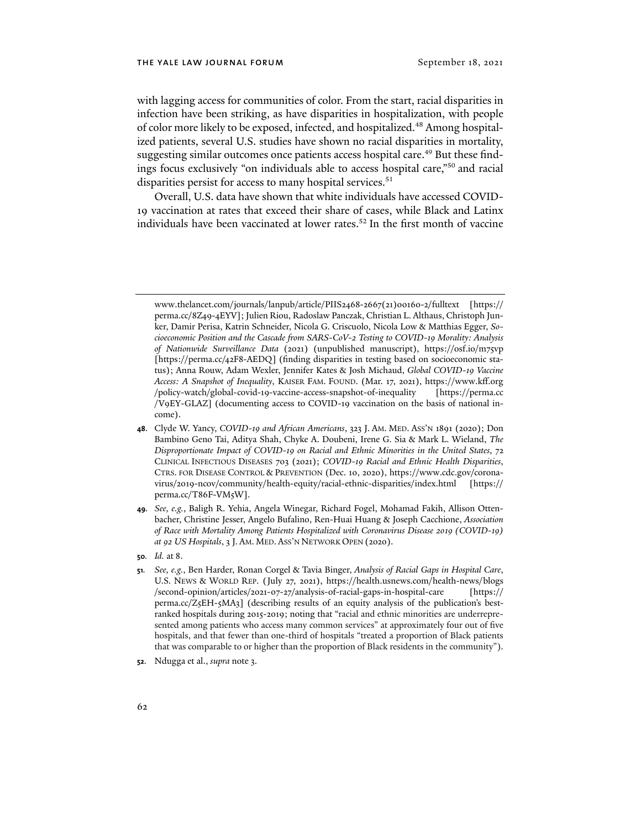with lagging access for communities of color. From the start, racial disparities in infection have been striking, as have disparities in hospitalization, with people of color more likely to be exposed, infected, and hospitalized.48 Among hospitalized patients, several U.S. studies have shown no racial disparities in mortality, suggesting similar outcomes once patients access hospital care.<sup>49</sup> But these findings focus exclusively "on individuals able to access hospital care,"50 and racial disparities persist for access to many hospital services.<sup>51</sup>

Overall, U.S. data have shown that white individuals have accessed COVID-19 vaccination at rates that exceed their share of cases, while Black and Latinx individuals have been vaccinated at lower rates.<sup>52</sup> In the first month of vaccine

[www.thelancet.com/journals/lanpub/article/PIIS2468-2667\(21\)00160-2/fulltext](https://www.thelancet.com/journals/lanpub/article/PIIS2468-2667(21)00160-2/fulltext) [https:// perma.cc/8Z49-4EYV]; Julien Riou, Radoslaw Panczak, Christian L. Althaus, Christoph Junker, Damir Perisa, Katrin Schneider, Nicola G. Criscuolo, Nicola Low & Matthias Egger, *Socioeconomic Position and the Cascade from SARS-CoV-2 Testing to COVID-19 Morality: Analysis of Nationwide Surveillance Data* (2021) (unpublished manuscript), https://osf.io/m75vp [https://perma.cc/42F8-AEDQ] (finding disparities in testing based on socioeconomic status); Anna Rouw, Adam Wexler, Jennifer Kates & Josh Michaud, *Global COVID-19 Vaccine Access: A Snapshot of Inequality*, KAISER FAM. FOUND. (Mar. 17, 2021), [https://www.kff.org](https://www.kff.org/policy-watch/global-covid-19-vaccine-access-snapshot-of-inequality/) [/policy-watch/global-covid-19-vaccine-access-snapshot-of-inequality](https://www.kff.org/policy-watch/global-covid-19-vaccine-access-snapshot-of-inequality/) [https://perma.cc /V9EY-GLAZ] (documenting access to COVID-19 vaccination on the basis of national income).

**<sup>48</sup>**. Clyde W. Yancy, *COVID-19 and African Americans*, 323 J. AM. MED. ASS'N 1891 (2020); Don Bambino Geno Tai, Aditya Shah, Chyke A. Doubeni, Irene G. Sia & Mark L. Wieland, *The Disproportionate Impact of COVID-19 on Racial and Ethnic Minorities in the United States*, 72 CLINICAL INFECTIOUS DISEASES 703 (2021); *COVID-19 Racial and Ethnic Health Disparities*, CTRS. FOR DISEASE CONTROL & PREVENTION (Dec. 10, 2020), https://www.cdc.gov/coronavirus/2019-ncov/community/health-equity/racial-ethnic-disparities/index.html [https:// perma.cc/T86F-VM5W].

**<sup>49</sup>***. See, e.g.*, Baligh R. Yehia, Angela Winegar, Richard Fogel, Mohamad Fakih, Allison Ottenbacher, Christine Jesser, Angelo Bufalino, Ren-Huai Huang & Joseph Cacchione, *Association of Race with Mortality Among Patients Hospitalized with Coronavirus Disease 2019 (COVID-19) at 92 US Hospitals*, 3 J. AM. MED. ASS'N NETWORK OPEN (2020).

**<sup>50</sup>***. Id.* at 8.

**<sup>51</sup>***. See, e.g.*, Ben Harder, Ronan Corgel & Tavia Binger, *Analysis of Racial Gaps in Hospital Care*, U.S. NEWS & WORLD REP. (July 27, 2021), [https://health.usnews.com/health-news/blogs](https://health.usnews.com/health-news/blogs/second-opinion/articles/2021-07-27/analysis-of-racial-gaps-in-hospital-care) [/second-opinion/articles/2021-07-27/analysis-of-racial-gaps-in-hospital-care](https://health.usnews.com/health-news/blogs/second-opinion/articles/2021-07-27/analysis-of-racial-gaps-in-hospital-care) [https:// perma.cc/Z5EH-5MA3] (describing results of an equity analysis of the publication's bestranked hospitals during 2015-2019; noting that "racial and ethnic minorities are underrepresented among patients who access many common services" at approximately four out of five hospitals, and that fewer than one-third of hospitals "treated a proportion of Black patients that was comparable to or higher than the proportion of Black residents in the community").

**<sup>52</sup>**. Ndugga et al., *supra* note 3.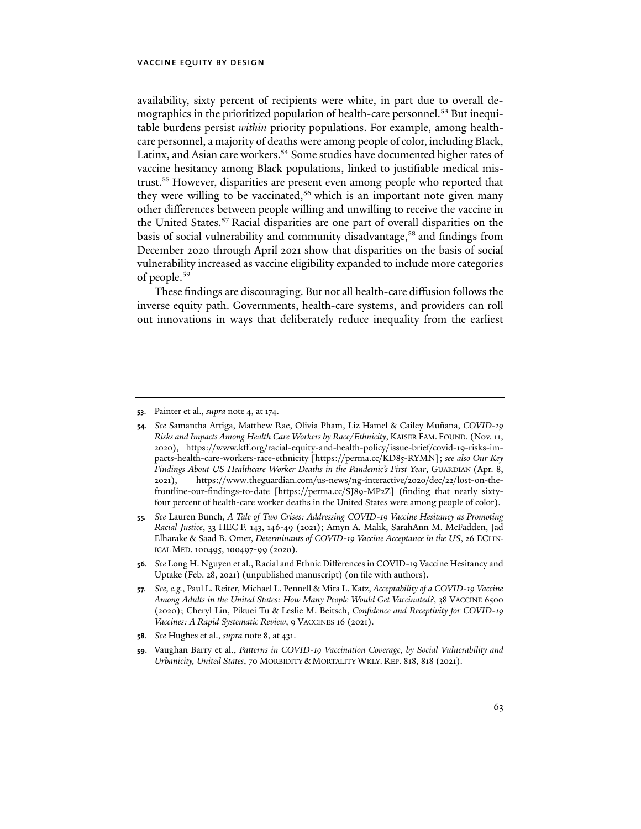availability, sixty percent of recipients were white, in part due to overall demographics in the prioritized population of health-care personnel.<sup>53</sup> But inequitable burdens persist *within* priority populations. For example, among healthcare personnel, a majority of deaths were among people of color, including Black, Latinx, and Asian care workers.<sup>54</sup> Some studies have documented higher rates of vaccine hesitancy among Black populations, linked to justifiable medical mistrust.<sup>55</sup> However, disparities are present even among people who reported that they were willing to be vaccinated,<sup>56</sup> which is an important note given many other differences between people willing and unwilling to receive the vaccine in the United States.<sup>57</sup> Racial disparities are one part of overall disparities on the basis of social vulnerability and community disadvantage,<sup>58</sup> and findings from December 2020 through April 2021 show that disparities on the basis of social vulnerability increased as vaccine eligibility expanded to include more categories of people.59

These findings are discouraging. But not all health-care diffusion follows the inverse equity path. Governments, health-care systems, and providers can roll out innovations in ways that deliberately reduce inequality from the earliest

**58***. See* Hughes et al., *supra* note 8, at 431.

**<sup>53</sup>**. Painter et al., *supra* note 4, at 174.

**<sup>54</sup>***. See* Samantha Artiga, Matthew Rae, Olivia Pham, Liz Hamel & Cailey Muñana, *COVID-19 Risks and Impacts Among Health Care Workers by Race/Ethnicity*, KAISER FAM. FOUND. (Nov. 11, 2020), https://www.kff.org/racial-equity-and-health-policy/issue-brief/covid-19-risks-impacts-health-care-workers-race-ethnicity [https://perma.cc/KD85-RYMN]; *see also Our Key Findings About US Healthcare Worker Deaths in the Pandemic's First Year*, GUARDIAN (Apr. 8, 2021), https://www.theguardian.com/us-news/ng-interactive/2020/dec/22/lost-on-thefrontline-our-findings-to-date [https://perma.cc/SJ89-MP2Z] (finding that nearly sixtyfour percent of health-care worker deaths in the United States were among people of color).

**<sup>55</sup>***. See* Lauren Bunch, *A Tale of Two Crises: Addressing COVID-19 Vaccine Hesitancy as Promoting Racial Justice*, 33 HEC F. 143, 146-49 (2021); Amyn A. Malik, SarahAnn M. McFadden, Jad Elharake & Saad B. Omer, *Determinants of COVID-19 Vaccine Acceptance in the US*, 26 ECLIN-ICAL MED. 100495, 100497-99 (2020).

**<sup>56</sup>***. See* Long H. Nguyen et al., Racial and Ethnic Differences in COVID-19 Vaccine Hesitancy and Uptake (Feb. 28, 2021) (unpublished manuscript) (on file with authors).

**<sup>57</sup>***. See, e.g.*, Paul L. Reiter, Michael L. Pennell & Mira L. Katz, *Acceptability of a COVID-19 Vaccine Among Adults in the United States: How Many People Would Get Vaccinated?*, 38 VACCINE 6500 (2020); Cheryl Lin, Pikuei Tu & Leslie M. Beitsch, *Confidence and Receptivity for COVID-19 Vaccines: A Rapid Systematic Review*, 9 VACCINES 16 (2021).

**<sup>59</sup>**. Vaughan Barry et al., *Patterns in COVID-19 Vaccination Coverage, by Social Vulnerability and Urbanicity, United States*, 70 MORBIDITY & MORTALITY WKLY. REP. 818, 818 (2021).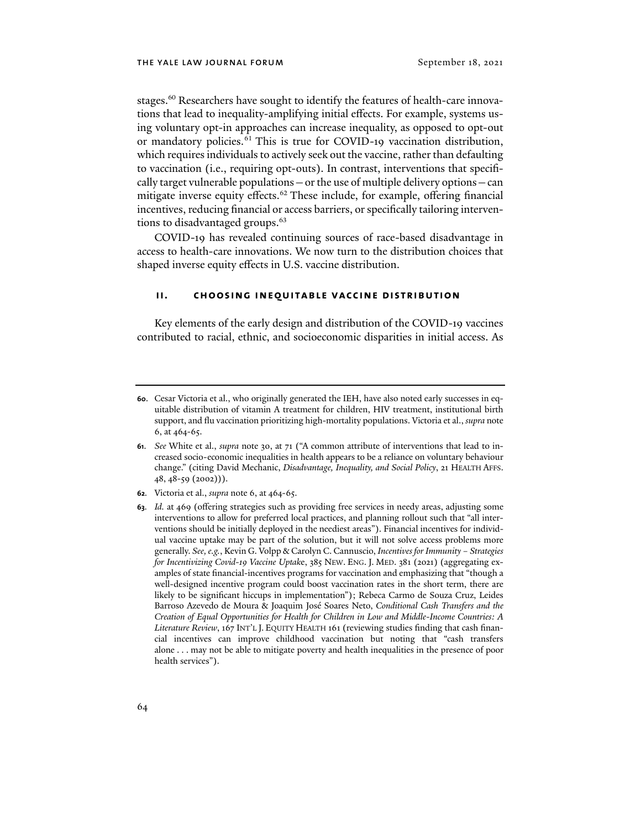stages.<sup>60</sup> Researchers have sought to identify the features of health-care innovations that lead to inequality-amplifying initial effects. For example, systems using voluntary opt-in approaches can increase inequality, as opposed to opt-out or mandatory policies.<sup>61</sup> This is true for COVID-19 vaccination distribution, which requires individuals to actively seek out the vaccine, rather than defaulting to vaccination (i.e., requiring opt-outs). In contrast, interventions that specifically target vulnerable populations—or the use of multiple delivery options—can mitigate inverse equity effects.<sup>62</sup> These include, for example, offering financial incentives, reducing financial or access barriers, or specifically tailoring interventions to disadvantaged groups.<sup>63</sup>

COVID-19 has revealed continuing sources of race-based disadvantage in access to health-care innovations. We now turn to the distribution choices that shaped inverse equity effects in U.S. vaccine distribution.

#### **ii. choosing inequitable vaccine distribution**

Key elements of the early design and distribution of the COVID-19 vaccines contributed to racial, ethnic, and socioeconomic disparities in initial access. As

- **62***.* Victoria et al., *supra* note 6, at 464-65.
- **63***. Id.* at 469 (offering strategies such as providing free services in needy areas, adjusting some interventions to allow for preferred local practices, and planning rollout such that "all interventions should be initially deployed in the neediest areas"). Financial incentives for individual vaccine uptake may be part of the solution, but it will not solve access problems more generally. *See, e.g.*, Kevin G. Volpp & Carolyn C. Cannuscio, *Incentives for Immunity – Strategies for Incentivizing Covid-19 Vaccine Uptak*e, 385 NEW. ENG. J. MED. 381 (2021) (aggregating examples of state financial-incentives programs for vaccination and emphasizing that "though a well-designed incentive program could boost vaccination rates in the short term, there are likely to be significant hiccups in implementation"); Rebeca Carmo de Souza Cruz, Leides Barroso Azevedo de Moura & Joaquim José Soares Neto, *Conditional Cash Transfers and the Creation of Equal Opportunities for Health for Children in Low and Middle-Income Countries: A Literature Review*, 167 INT'L J. EQUITY HEALTH 161 (reviewing studies finding that cash financial incentives can improve childhood vaccination but noting that "cash transfers alone . . . may not be able to mitigate poverty and health inequalities in the presence of poor health services").

**<sup>60</sup>**. Cesar Victoria et al., who originally generated the IEH, have also noted early successes in equitable distribution of vitamin A treatment for children, HIV treatment, institutional birth support, and flu vaccination prioritizing high-mortality populations. Victoria et al., *supra* note 6, at 464-65.

**<sup>61</sup>**. *See* White et al., *supra* note 30, at 71 ("A common attribute of interventions that lead to increased socio-economic inequalities in health appears to be a reliance on voluntary behaviour change." (citing David Mechanic, *Disadvantage, Inequality, and Social Policy*, 21 HEALTH AFFS. 48, 48-59 (2002))).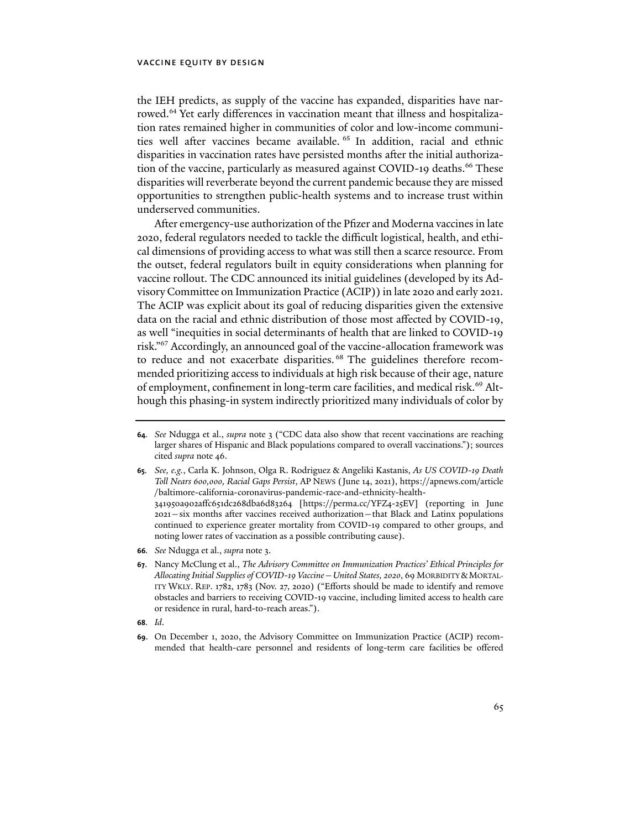the IEH predicts, as supply of the vaccine has expanded, disparities have narrowed.<sup>64</sup> Yet early differences in vaccination meant that illness and hospitalization rates remained higher in communities of color and low-income communities well after vaccines became available. 65 In addition, racial and ethnic disparities in vaccination rates have persisted months after the initial authorization of the vaccine, particularly as measured against COVID-19 deaths.<sup>66</sup> These disparities will reverberate beyond the current pandemic because they are missed opportunities to strengthen public-health systems and to increase trust within underserved communities.

After emergency-use authorization of the Pfizer and Moderna vaccines in late 2020, federal regulators needed to tackle the difficult logistical, health, and ethical dimensions of providing access to what was still then a scarce resource. From the outset, federal regulators built in equity considerations when planning for vaccine rollout. The CDC announced its initial guidelines (developed by its Advisory Committee on Immunization Practice (ACIP)) in late 2020 and early 2021. The ACIP was explicit about its goal of reducing disparities given the extensive data on the racial and ethnic distribution of those most affected by COVID-19, as well "inequities in social determinants of health that are linked to COVID-19 risk."67 Accordingly, an announced goal of the vaccine-allocation framework was to reduce and not exacerbate disparities. 68 The guidelines therefore recommended prioritizing access to individuals at high risk because of their age, nature of employment, confinement in long-term care facilities, and medical risk.<sup>69</sup> Although this phasing-in system indirectly prioritized many individuals of color by

**68***. Id*.

**<sup>64</sup>***. See* Ndugga et al., *supra* note 3 ("CDC data also show that recent vaccinations are reaching larger shares of Hispanic and Black populations compared to overall vaccinations."); sources cited *supra* note 46.

**<sup>65</sup>***. See, e.g.*, Carla K. Johnson, Olga R. Rodriguez & Angeliki Kastanis, *As US COVID-19 Death Toll Nears 600,000, Racial Gaps Persist*, AP NEWS (June 14, 2021), [https://apnews.com/article](https://apnews.com/article/baltimore-california-coronavirus-pandemic-race-and-ethnicity-health-341950a902affc651dc268dba6d83264) [/baltimore-california-coronavirus-pandemic-race-and-ethnicity-health-](https://apnews.com/article/baltimore-california-coronavirus-pandemic-race-and-ethnicity-health-341950a902affc651dc268dba6d83264)[341950a902affc651dc268dba6d83264](https://apnews.com/article/baltimore-california-coronavirus-pandemic-race-and-ethnicity-health-341950a902affc651dc268dba6d83264) [https://perma.cc/YFZ4-25EV] (reporting in June 2021—six months after vaccines received authorization—that Black and Latinx populations continued to experience greater mortality from COVID-19 compared to other groups, and noting lower rates of vaccination as a possible contributing cause).

**<sup>66</sup>***. See* Ndugga et al., *supra* note 3.

**<sup>67</sup>**. Nancy McClung et al., *The Advisory Committee on Immunization Practices' Ethical Principles for Allocating Initial Supplies of COVID-19 Vaccine—United States, 2020*, 69 MORBIDITY &MORTAL-ITY WKLY. REP. 1782, 1783 (Nov. 27, 2020) ("Efforts should be made to identify and remove obstacles and barriers to receiving COVID-19 vaccine, including limited access to health care or residence in rural, hard-to-reach areas.").

**<sup>69</sup>**. On December 1, 2020, the Advisory Committee on Immunization Practice (ACIP) recommended that health-care personnel and residents of long-term care facilities be offered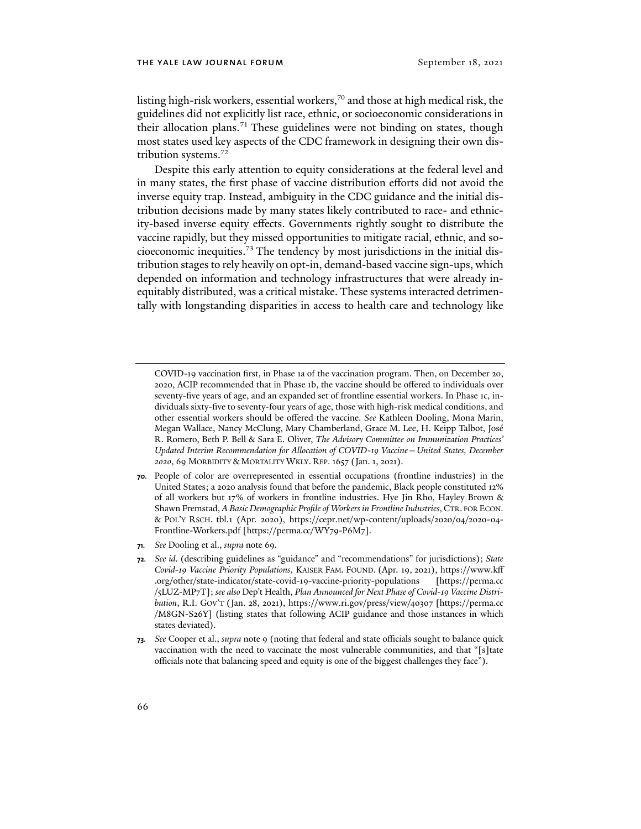listing high-risk workers, essential workers,<sup>70</sup> and those at high medical risk, the guidelines did not explicitly list race, ethnic, or socioeconomic considerations in their allocation plans.<sup>71</sup> These guidelines were not binding on states, though most states used key aspects of the CDC framework in designing their own distribution systems.<sup>72</sup>

Despite this early attention to equity considerations at the federal level and in many states, the first phase of vaccine distribution efforts did not avoid the inverse equity trap. Instead, ambiguity in the CDC guidance and the initial distribution decisions made by many states likely contributed to race- and ethnicity-based inverse equity effects. Governments rightly sought to distribute the vaccine rapidly, but they missed opportunities to mitigate racial, ethnic, and socioeconomic inequities.73 The tendency by most jurisdictions in the initial distribution stages to rely heavily on opt-in, demand-based vaccine sign-ups, which depended on information and technology infrastructures that were already inequitably distributed, was a critical mistake. These systems interacted detrimentally with longstanding disparities in access to health care and technology like

**71***. See* Dooling et al., *supra* note 69*.*

COVID-19 vaccination first, in Phase 1a of the vaccination program. Then, on December 20, 2020, ACIP recommended that in Phase 1b, the vaccine should be offered to individuals over seventy-five years of age, and an expanded set of frontline essential workers. In Phase 1c, individuals sixty-five to seventy-four years of age, those with high-risk medical conditions, and other essential workers should be offered the vaccine. *See* Kathleen Dooling, Mona Marin, Megan Wallace, Nancy McClung, Mary Chamberland, Grace M. Lee, H. Keipp Talbot, José R. Romero, Beth P. Bell & Sara E. Oliver, *The Advisory Committee on Immunization Practices' Updated Interim Recommendation for Allocation of COVID-19 Vaccine—United States, December 2020*, 69 MORBIDITY & MORTALITY WKLY. REP. 1657 (Jan. 1, 2021).

**<sup>70</sup>***.* People of color are overrepresented in essential occupations (frontline industries) in the United States; a 2020 analysis found that before the pandemic, Black people constituted 12% of all workers but 17% of workers in frontline industries. Hye Jin Rho, Hayley Brown & Shawn Fremstad, *A Basic Demographic Profile of Workers in Frontline Industries*, CTR. FOR ECON. & POL'Y RSCH. tbl.1 (Apr. 2020), https://cepr.net/wp-content/uploads/2020/04/2020-04- Frontline-Workers.pdf [https://perma.cc/WY79-P6M7].

**<sup>72</sup>***. See id.* (describing guidelines as "guidance" and "recommendations" for jurisdictions); *State Covid-19 Vaccine Priority Populations*, KAISER FAM. FOUND. (Apr. 19, 2021), [https://www.kff](https://www.kff.org/other/state-indicator/state-covid-19-vaccine-priority-populations/?currentTimeframe=0&sortModel=%7B%22colId%22:%22Location%22,%22sort%22:%22asc%22%7D) [.org/other/state-indicator/state-covid-19-vaccine-priority-populations](https://www.kff.org/other/state-indicator/state-covid-19-vaccine-priority-populations/?currentTimeframe=0&sortModel=%7B%22colId%22:%22Location%22,%22sort%22:%22asc%22%7D) [https://perma.cc /5LUZ-MP7T]; *see also* Dep't Health, *Plan Announced for Next Phase of Covid-19 Vaccine Distribution*, R.I. GOV'T (Jan. 28, 2021), https://www.ri.gov/press/view/40307 [https://perma.cc /M8GN-S26Y] (listing states that following ACIP guidance and those instances in which states deviated).

**<sup>73</sup>***. See* Cooper et al., *supra* note 9 (noting that federal and state officials sought to balance quick vaccination with the need to vaccinate the most vulnerable communities, and that "[s]tate officials note that balancing speed and equity is one of the biggest challenges they face").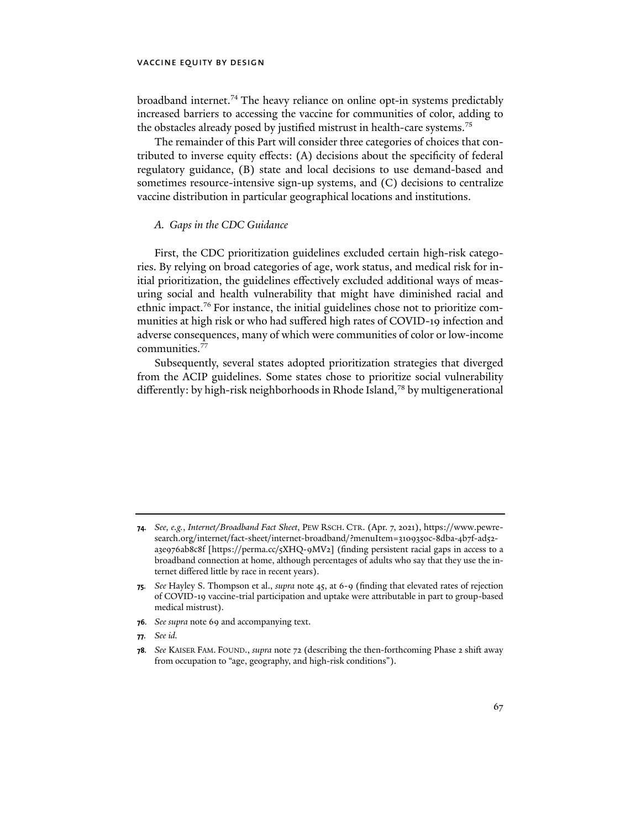broadband internet.<sup>74</sup> The heavy reliance on online opt-in systems predictably increased barriers to accessing the vaccine for communities of color, adding to the obstacles already posed by justified mistrust in health-care systems.<sup>75</sup>

The remainder of this Part will consider three categories of choices that contributed to inverse equity effects: (A) decisions about the specificity of federal regulatory guidance, (B) state and local decisions to use demand-based and sometimes resource-intensive sign-up systems, and (C) decisions to centralize vaccine distribution in particular geographical locations and institutions.

#### *A. Gaps in the CDC Guidance*

First, the CDC prioritization guidelines excluded certain high-risk categories. By relying on broad categories of age, work status, and medical risk for initial prioritization, the guidelines effectively excluded additional ways of measuring social and health vulnerability that might have diminished racial and ethnic impact.76 For instance, the initial guidelines chose not to prioritize communities at high risk or who had suffered high rates of COVID-19 infection and adverse consequences, many of which were communities of color or low-income communities.77

Subsequently, several states adopted prioritization strategies that diverged from the ACIP guidelines. Some states chose to prioritize social vulnerability differently: by high-risk neighborhoods in Rhode Island,<sup>78</sup> by multigenerational

- **75***. See* Hayley S. Thompson et al., *supra* note 45, at 6-9 (finding that elevated rates of rejection of COVID-19 vaccine-trial participation and uptake were attributable in part to group-based medical mistrust).
- **76***. See supra* note 69 and accompanying text.
- **77***. See id.*
- **78***. See* KAISER FAM. FOUND., *supra* note 72 (describing the then-forthcoming Phase 2 shift away from occupation to "age, geography, and high-risk conditions").

**<sup>74</sup>***. See, e.g.*, *Internet/Broadband Fact Sheet*, PEW RSCH. CTR. (Apr. 7, 2021), https://www.pewresearch.org/internet/fact-sheet/internet-broadband/?menuItem=3109350c-8dba-4b7f-ad52 a3e976ab8c8f [https://perma.cc/5XHQ-9MV2] (finding persistent racial gaps in access to a broadband connection at home, although percentages of adults who say that they use the internet differed little by race in recent years).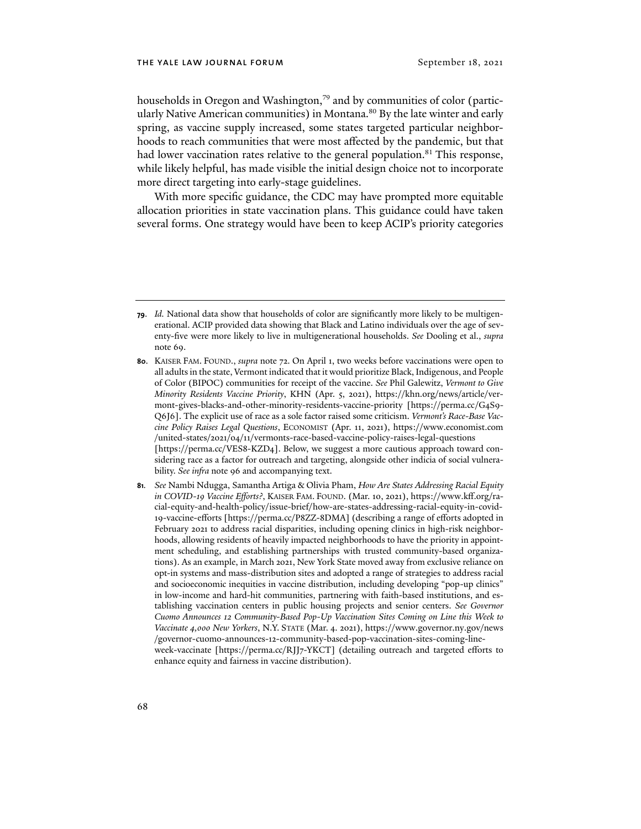households in Oregon and Washington,<sup>79</sup> and by communities of color (particularly Native American communities) in Montana.<sup>80</sup> By the late winter and early spring, as vaccine supply increased, some states targeted particular neighborhoods to reach communities that were most affected by the pandemic, but that had lower vaccination rates relative to the general population.<sup>81</sup> This response, while likely helpful, has made visible the initial design choice not to incorporate more direct targeting into early-stage guidelines.

With more specific guidance, the CDC may have prompted more equitable allocation priorities in state vaccination plans. This guidance could have taken several forms. One strategy would have been to keep ACIP's priority categories

**<sup>79</sup>**. *Id.* National data show that households of color are significantly more likely to be multigenerational. ACIP provided data showing that Black and Latino individuals over the age of seventy-five were more likely to live in multigenerational households. *See* Dooling et al., *supra* note 69.

**<sup>80</sup>**. KAISER FAM. FOUND., *supra* note 72. On April 1, two weeks before vaccinations were open to all adults in the state, Vermont indicated that it would prioritize Black, Indigenous, and People of Color (BIPOC) communities for receipt of the vaccine. *See* Phil Galewitz, *Vermont to Give Minority Residents Vaccine Priority*, KHN (Apr. 5, 2021), https://khn.org/news/article/vermont-gives-blacks-and-other-minority-residents-vaccine-priority [https://perma.cc/G4S9- Q6J6]. The explicit use of race as a sole factor raised some criticism. *Vermont's Race-Base Vaccine Policy Raises Legal Questions*, ECONOMIST (Apr. 11, 2021), [https://www.economist.com](https://www.economist.com/united-states/2021/04/11/vermonts-race-based-vaccine-policy-raises-legal-questions) [/united-states/2021/04/11/vermonts-race-based-vaccine-policy-raises-legal-questions](https://www.economist.com/united-states/2021/04/11/vermonts-race-based-vaccine-policy-raises-legal-questions) [https://perma.cc/VES8-KZD4]. Below, we suggest a more cautious approach toward considering race as a factor for outreach and targeting, alongside other indicia of social vulnerability. *See infra* note 96 and accompanying text.

**<sup>81</sup>***. See* Nambi Ndugga, Samantha Artiga & Olivia Pham, *How Are States Addressing Racial Equity in COVID-19 Vaccine Efforts?*, KAISER FAM. FOUND. (Mar. 10, 2021), https://www.kff.org/racial-equity-and-health-policy/issue-brief/how-are-states-addressing-racial-equity-in-covid-19-vaccine-efforts [https://perma.cc/P8ZZ-8DMA] (describing a range of efforts adopted in February 2021 to address racial disparities, including opening clinics in high-risk neighborhoods, allowing residents of heavily impacted neighborhoods to have the priority in appointment scheduling, and establishing partnerships with trusted community-based organizations). As an example, in March 2021, New York State moved away from exclusive reliance on opt-in systems and mass-distribution sites and adopted a range of strategies to address racial and socioeconomic inequities in vaccine distribution, including developing "pop-up clinics" in low-income and hard-hit communities, partnering with faith-based institutions, and establishing vaccination centers in public housing projects and senior centers. *See Governor Cuomo Announces 12 Community-Based Pop-Up Vaccination Sites Coming on Line this Week to Vaccinate 4,000 New Yorkers*, N.Y. STATE (Mar. 4. 2021), [https://www.governor.ny.gov/news](https://www.governor.ny.gov/news/governor-cuomo-announces-12-community-based-pop-vaccination-sites-coming-line-week-vaccinate) [/governor-cuomo-announces-12-community-based-pop-vaccination-sites-coming-line](https://www.governor.ny.gov/news/governor-cuomo-announces-12-community-based-pop-vaccination-sites-coming-line-week-vaccinate)[week-vaccinate](https://www.governor.ny.gov/news/governor-cuomo-announces-12-community-based-pop-vaccination-sites-coming-line-week-vaccinate) [https://perma.cc/RJJ7-YKCT] (detailing outreach and targeted efforts to enhance equity and fairness in vaccine distribution).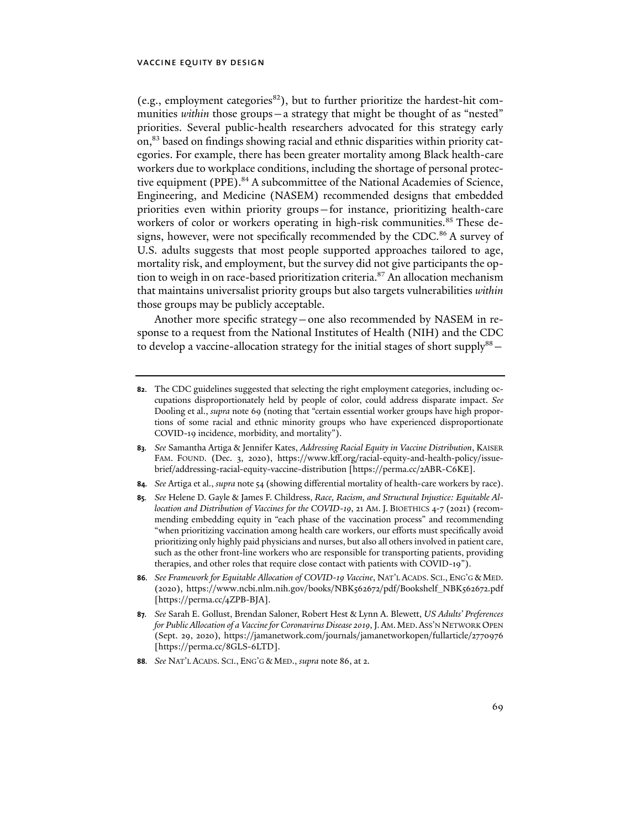(e.g., employment categories $^{82}$ ), but to further prioritize the hardest-hit communities *within* those groups – a strategy that might be thought of as "nested" priorities. Several public-health researchers advocated for this strategy early on,<sup>83</sup> based on findings showing racial and ethnic disparities within priority categories. For example, there has been greater mortality among Black health-care workers due to workplace conditions, including the shortage of personal protective equipment (PPE).<sup>84</sup> A subcommittee of the National Academies of Science, Engineering, and Medicine (NASEM) recommended designs that embedded priorities even within priority groups—for instance, prioritizing health-care workers of color or workers operating in high-risk communities.<sup>85</sup> These designs, however, were not specifically recommended by the CDC.<sup>86</sup> A survey of U.S. adults suggests that most people supported approaches tailored to age, mortality risk, and employment, but the survey did not give participants the option to weigh in on race-based prioritization criteria.<sup>87</sup> An allocation mechanism that maintains universalist priority groups but also targets vulnerabilities *within*  those groups may be publicly acceptable.

Another more specific strategy—one also recommended by NASEM in response to a request from the National Institutes of Health (NIH) and the CDC to develop a vaccine-allocation strategy for the initial stages of short supply $88-$ 

- **82**. The CDC guidelines suggested that selecting the right employment categories, including occupations disproportionately held by people of color, could address disparate impact. *See* Dooling et al., *supra* note 69 (noting that "certain essential worker groups have high proportions of some racial and ethnic minority groups who have experienced disproportionate COVID-19 incidence, morbidity, and mortality").
- **83***. See* Samantha Artiga & Jennifer Kates, *Addressing Racial Equity in Vaccine Distribution*, KAISER FAM. FOUND. (Dec. 3, 2020), https://www.kff.org/racial-equity-and-health-policy/issuebrief/addressing-racial-equity-vaccine-distribution [https://perma.cc/2ABR-C6KE].
- **84***. See* Artiga et al., *supra* note 54 (showing differential mortality of health-care workers by race).
- **85***. See* Helene D. Gayle & James F. Childress, *Race, Racism, and Structural Injustice: Equitable Allocation and Distribution of Vaccines for the COVID-19*, 21 AM. J. BIOETHICS 4-7 (2021) (recommending embedding equity in "each phase of the vaccination process" and recommending "when prioritizing vaccination among health care workers, our efforts must specifically avoid prioritizing only highly paid physicians and nurses, but also all others involved in patient care, such as the other front-line workers who are responsible for transporting patients, providing therapies, and other roles that require close contact with patients with COVID-19").
- **86***. See Framework for Equitable Allocation of COVID-19 Vaccine*, NAT'L ACADS. SCI., ENG'G & MED. (2020), https://www.ncbi.nlm.nih.gov/books/NBK562672/pdf/Bookshelf\_NBK562672.pdf [https://perma.cc/4ZPB-BJA].
- **87***. See* Sarah E. Gollust, Brendan Saloner, Robert Hest & Lynn A. Blewett, *US Adults' Preferences for Public Allocation of a Vaccine for Coronavirus Disease 2019*, J.AM.MED.ASS'N NETWORK OPEN (Sept. 29, 2020), https://jamanetwork.com/journals/jamanetworkopen/fullarticle/2770976 [https://perma.cc/8GLS-6LTD].
- **88***. See* NAT'L ACADS. SCI., ENG'G & MED., *supra* note 86, at 2.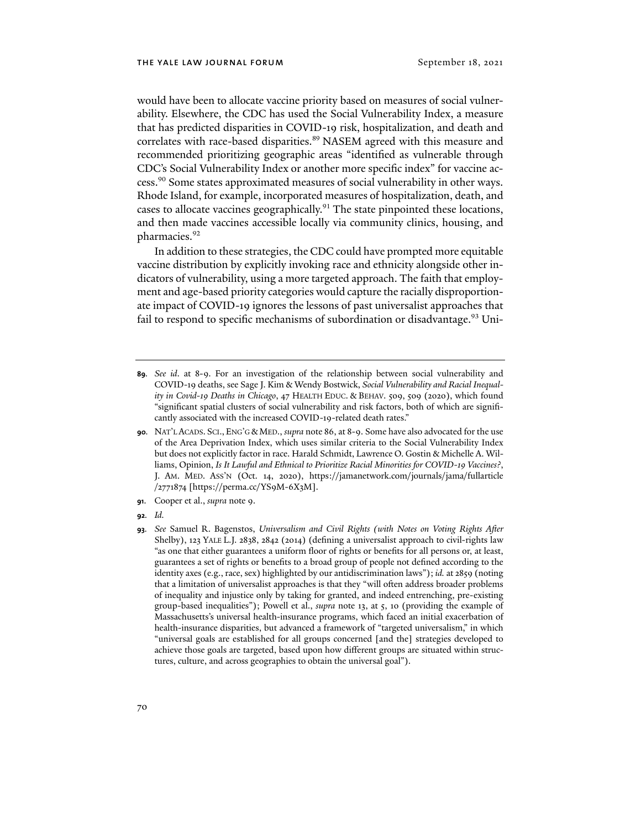would have been to allocate vaccine priority based on measures of social vulnerability. Elsewhere, the CDC has used the Social Vulnerability Index, a measure that has predicted disparities in COVID-19 risk, hospitalization, and death and correlates with race-based disparities.<sup>89</sup> NASEM agreed with this measure and recommended prioritizing geographic areas "identified as vulnerable through CDC's Social Vulnerability Index or another more specific index" for vaccine access.90 Some states approximated measures of social vulnerability in other ways. Rhode Island, for example, incorporated measures of hospitalization, death, and cases to allocate vaccines geographically.<sup>91</sup> The state pinpointed these locations, and then made vaccines accessible locally via community clinics, housing, and pharmacies.<sup>92</sup>

In addition to these strategies, the CDC could have prompted more equitable vaccine distribution by explicitly invoking race and ethnicity alongside other indicators of vulnerability, using a more targeted approach. The faith that employment and age-based priority categories would capture the racially disproportionate impact of COVID-19 ignores the lessons of past universalist approaches that fail to respond to specific mechanisms of subordination or disadvantage.<sup>93</sup> Uni-

- **89***. See id*. at 8-9. For an investigation of the relationship between social vulnerability and COVID-19 deaths, see Sage J. Kim & Wendy Bostwick, *Social Vulnerability and Racial Inequality in Covid-19 Deaths in Chicago*, 47 HEALTH EDUC. & BEHAV. 509, 509 (2020), which found "significant spatial clusters of social vulnerability and risk factors, both of which are significantly associated with the increased COVID-19-related death rates."
- **90***.* NAT'L ACADS. SCI., ENG'G & MED., *supra* note 86, at 8-9. Some have also advocated for the use of the Area Deprivation Index, which uses similar criteria to the Social Vulnerability Index but does not explicitly factor in race. Harald Schmidt, Lawrence O. Gostin & Michelle A. Williams, Opinion, *Is It Lawful and Ethnical to Prioritize Racial Minorities for COVID-19 Vaccines?*, J. AM. MED. ASS'N (Oct. 14, 2020), [https://jamanetwork.com/journals/jama/fullarticle](https://jamanetwork.com/journals/jama/fullarticle/2771874) [/2771874](https://jamanetwork.com/journals/jama/fullarticle/2771874) [https://perma.cc/YS9M-6X3M].
- **91**. Cooper et al., *supra* note 9.
- **92***. Id.*

**<sup>93</sup>***. See* Samuel R. Bagenstos, *Universalism and Civil Rights (with Notes on Voting Rights After*  Shelby), 123 YALE L.J. 2838, 2842 (2014) (defining a universalist approach to civil-rights law "as one that either guarantees a uniform floor of rights or benefits for all persons or, at least, guarantees a set of rights or benefits to a broad group of people not defined according to the identity axes (e.g., race, sex) highlighted by our antidiscrimination laws"); *id.* at 2859 (noting that a limitation of universalist approaches is that they "will often address broader problems of inequality and injustice only by taking for granted, and indeed entrenching, pre-existing group-based inequalities"); Powell et al., *supra* note 13, at 5, 10 (providing the example of Massachusetts's universal health-insurance programs, which faced an initial exacerbation of health-insurance disparities, but advanced a framework of "targeted universalism," in which "universal goals are established for all groups concerned [and the] strategies developed to achieve those goals are targeted, based upon how different groups are situated within structures, culture, and across geographies to obtain the universal goal").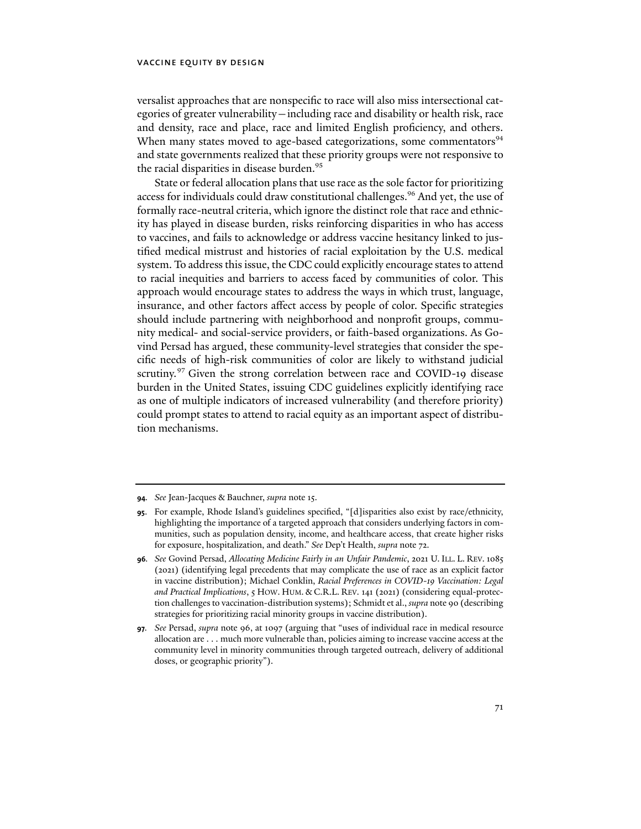versalist approaches that are nonspecific to race will also miss intersectional categories of greater vulnerability—including race and disability or health risk, race and density, race and place, race and limited English proficiency, and others. When many states moved to age-based categorizations, some commentators<sup>94</sup> and state governments realized that these priority groups were not responsive to the racial disparities in disease burden.<sup>95</sup>

State or federal allocation plans that use race as the sole factor for prioritizing access for individuals could draw constitutional challenges.<sup>96</sup> And yet, the use of formally race-neutral criteria, which ignore the distinct role that race and ethnicity has played in disease burden, risks reinforcing disparities in who has access to vaccines, and fails to acknowledge or address vaccine hesitancy linked to justified medical mistrust and histories of racial exploitation by the U.S. medical system. To address this issue, the CDC could explicitly encourage states to attend to racial inequities and barriers to access faced by communities of color. This approach would encourage states to address the ways in which trust, language, insurance, and other factors affect access by people of color. Specific strategies should include partnering with neighborhood and nonprofit groups, community medical- and social-service providers, or faith-based organizations. As Govind Persad has argued, these community-level strategies that consider the specific needs of high-risk communities of color are likely to withstand judicial scrutiny.<sup>97</sup> Given the strong correlation between race and COVID-19 disease burden in the United States, issuing CDC guidelines explicitly identifying race as one of multiple indicators of increased vulnerability (and therefore priority) could prompt states to attend to racial equity as an important aspect of distribution mechanisms.

**<sup>94</sup>***. See* Jean-Jacques & Bauchner, *supra* note 15.

**<sup>95</sup>**. For example, Rhode Island's guidelines specified, "[d]isparities also exist by race/ethnicity, highlighting the importance of a targeted approach that considers underlying factors in communities, such as population density, income, and healthcare access, that create higher risks for exposure, hospitalization, and death." *See* Dep't Health, *supra* note 72.

**<sup>96</sup>***. See* Govind Persad, *Allocating Medicine Fairly in an Unfair Pandemic*, 2021 U. ILL. L. REV. 1085 (2021) (identifying legal precedents that may complicate the use of race as an explicit factor in vaccine distribution); Michael Conklin, *Racial Preferences in COVID-19 Vaccination: Legal and Practical Implications*, 5 HOW. HUM. & C.R.L. REV. 141 (2021) (considering equal-protection challenges to vaccination-distribution systems); Schmidt et al., *supra* note 90 (describing strategies for prioritizing racial minority groups in vaccine distribution).

**<sup>97</sup>***. See* Persad, *supra* note 96, at 1097 (arguing that "uses of individual race in medical resource allocation are . . . much more vulnerable than, policies aiming to increase vaccine access at the community level in minority communities through targeted outreach, delivery of additional doses, or geographic priority").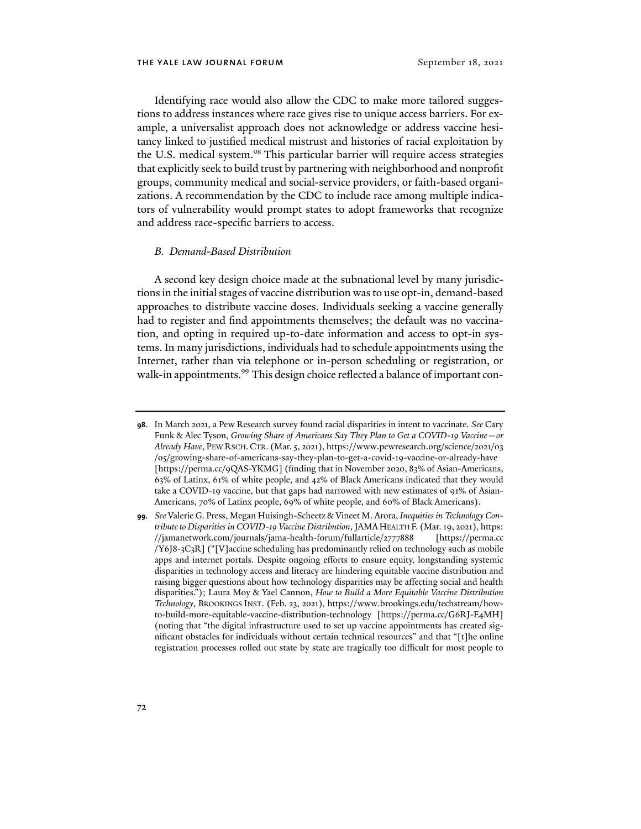Identifying race would also allow the CDC to make more tailored suggestions to address instances where race gives rise to unique access barriers. For example, a universalist approach does not acknowledge or address vaccine hesitancy linked to justified medical mistrust and histories of racial exploitation by the U.S. medical system.<sup>98</sup> This particular barrier will require access strategies that explicitly seek to build trust by partnering with neighborhood and nonprofit groups, community medical and social-service providers, or faith-based organizations. A recommendation by the CDC to include race among multiple indicators of vulnerability would prompt states to adopt frameworks that recognize and address race-specific barriers to access.

#### *B. Demand-Based Distribution*

A second key design choice made at the subnational level by many jurisdictions in the initial stages of vaccine distribution was to use opt-in, demand-based approaches to distribute vaccine doses. Individuals seeking a vaccine generally had to register and find appointments themselves; the default was no vaccination, and opting in required up-to-date information and access to opt-in systems. In many jurisdictions, individuals had to schedule appointments using the Internet, rather than via telephone or in-person scheduling or registration, or walk-in appointments.<sup>99</sup> This design choice reflected a balance of important con-

**<sup>98</sup>**. In March 2021, a Pew Research survey found racial disparities in intent to vaccinate. *See* Cary Funk & Alec Tyson, *Growing Share of Americans Say They Plan to Get a COVID-19 Vaccine—or Already Have*, PEW RSCH.CTR. (Mar. 5, 2021), [https://www.pewresearch.org/science/2021/03](https://www.pewresearch.org/science/2021/03/05/growing-share-of-americans-say-they-plan-to-get-a-covid-19-vaccine-or-already-have/) [/05/growing-share-of-americans-say-they-plan-to-get-a-covid-19-vaccine-or-already-have](https://www.pewresearch.org/science/2021/03/05/growing-share-of-americans-say-they-plan-to-get-a-covid-19-vaccine-or-already-have/) [https://perma.cc/9QAS-YKMG] (finding that in November 2020, 83% of Asian-Americans, 63% of Latinx, 61% of white people, and 42% of Black Americans indicated that they would take a COVID-19 vaccine, but that gaps had narrowed with new estimates of 91% of Asian-Americans, 70% of Latinx people, 69% of white people, and 60% of Black Americans).

**<sup>99</sup>***. See* Valerie G. Press, Megan Huisingh-Scheetz & Vineet M. Arora, *Inequities in Technology Contribute to Disparities in COVID-19 Vaccine Distribution*, JAMAHEALTH F. (Mar. 19, 2021), [https:](https://jamanetwork.com/journals/jama-health-forum/fullarticle/2777888) [//jamanetwork.com/journals/jama-health-forum/fullarticle/2777888](https://jamanetwork.com/journals/jama-health-forum/fullarticle/2777888) [https://perma.cc /Y6J8-3C3R] ("[V]accine scheduling has predominantly relied on technology such as mobile apps and internet portals. Despite ongoing efforts to ensure equity, longstanding systemic disparities in technology access and literacy are hindering equitable vaccine distribution and raising bigger questions about how technology disparities may be affecting social and health disparities."); Laura Moy & Yael Cannon, *How to Build a More Equitable Vaccine Distribution Technology*, BROOKINGS INST. (Feb. 23, 2021), https://www.brookings.edu/techstream/howto-build-more-equitable-vaccine-distribution-technology [https://perma.cc/G6RJ-E4MH] (noting that "the digital infrastructure used to set up vaccine appointments has created significant obstacles for individuals without certain technical resources" and that "[t]he online registration processes rolled out state by state are tragically too difficult for most people to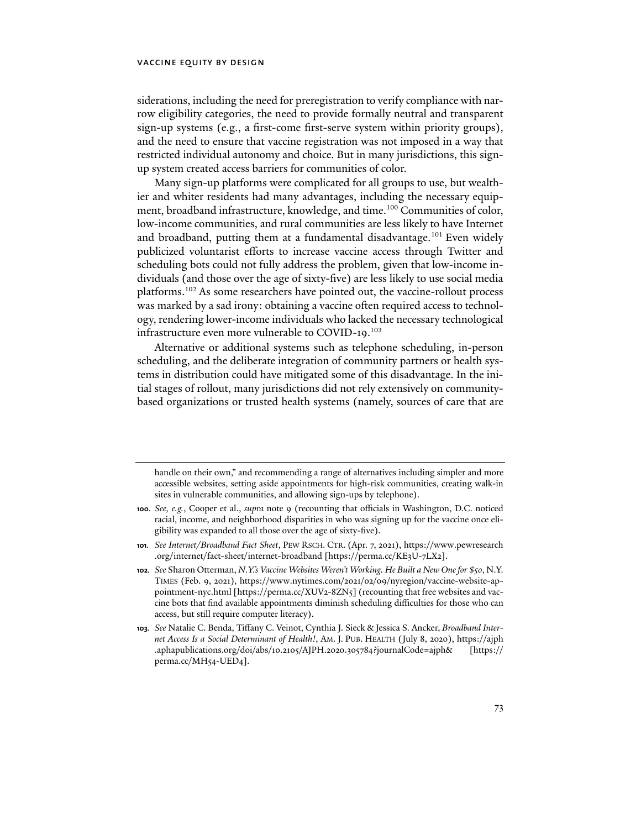siderations, including the need for preregistration to verify compliance with narrow eligibility categories, the need to provide formally neutral and transparent sign-up systems (e.g., a first-come first-serve system within priority groups), and the need to ensure that vaccine registration was not imposed in a way that restricted individual autonomy and choice. But in many jurisdictions, this signup system created access barriers for communities of color.

Many sign-up platforms were complicated for all groups to use, but wealthier and whiter residents had many advantages, including the necessary equipment, broadband infrastructure, knowledge, and time.<sup>100</sup> Communities of color, low-income communities, and rural communities are less likely to have Internet and broadband, putting them at a fundamental disadvantage.101 Even widely publicized voluntarist efforts to increase vaccine access through Twitter and scheduling bots could not fully address the problem, given that low-income individuals (and those over the age of sixty-five) are less likely to use social media platforms.102 As some researchers have pointed out, the vaccine-rollout process was marked by a sad irony: obtaining a vaccine often required access to technology, rendering lower-income individuals who lacked the necessary technological infrastructure even more vulnerable to COVID-19.<sup>103</sup>

Alternative or additional systems such as telephone scheduling, in-person scheduling, and the deliberate integration of community partners or health systems in distribution could have mitigated some of this disadvantage. In the initial stages of rollout, many jurisdictions did not rely extensively on communitybased organizations or trusted health systems (namely, sources of care that are

handle on their own," and recommending a range of alternatives including simpler and more accessible websites, setting aside appointments for high-risk communities, creating walk-in sites in vulnerable communities, and allowing sign-ups by telephone).

**<sup>100</sup>***. See, e.g.*, Cooper et al., *supra* note 9 (recounting that officials in Washington, D.C. noticed racial, income, and neighborhood disparities in who was signing up for the vaccine once eligibility was expanded to all those over the age of sixty-five).

**<sup>101</sup>***. See Internet/Broadband Fact Sheet*, PEW RSCH. CTR. (Apr. 7, 2021), [https://www.pewresearch](https://www.pewresearch.org/internet/fact-sheet/internet-broadband/) [.org/internet/fact-sheet/internet-broadband](https://www.pewresearch.org/internet/fact-sheet/internet-broadband/) [https://perma.cc/KE3U-7LX2].

**<sup>102</sup>***. See* Sharon Otterman, *N.Y.'s Vaccine Websites Weren't Working. He Built a New One for \$50*, N.Y. TIMES (Feb. 9, 2021), https://www.nytimes.com/2021/02/09/nyregion/vaccine-website-appointment-nyc.html [https://perma.cc/XUV2-8ZN5] (recounting that free websites and vaccine bots that find available appointments diminish scheduling difficulties for those who can access, but still require computer literacy).

**<sup>103</sup>***. See* Natalie C. Benda, Tiffany C. Veinot, Cynthia J. Sieck & Jessica S. Ancker, *Broadband Internet Access Is a Social Determinant of Health!*, AM. J. PUB. HEALTH (July 8, 2020), [https://ajph](https://ajph.aphapublications.org/doi/abs/10.2105/AJPH.2020.305784?journalCode=ajph&) [.aphapublications.org/doi/abs/10.2105/AJPH.2020.305784?journalCode=ajph&](https://ajph.aphapublications.org/doi/abs/10.2105/AJPH.2020.305784?journalCode=ajph&) [https:// perma.cc/MH54-UED4]*.*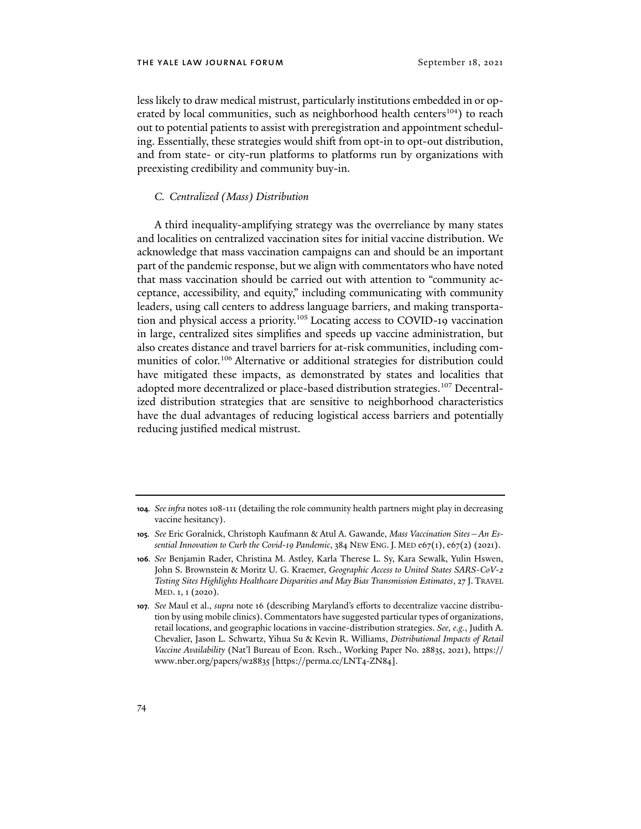less likely to draw medical mistrust, particularly institutions embedded in or operated by local communities, such as neighborhood health centers<sup>104</sup>) to reach out to potential patients to assist with preregistration and appointment scheduling. Essentially, these strategies would shift from opt-in to opt-out distribution, and from state- or city-run platforms to platforms run by organizations with preexisting credibility and community buy-in.

### *C. Centralized (Mass) Distribution*

A third inequality-amplifying strategy was the overreliance by many states and localities on centralized vaccination sites for initial vaccine distribution. We acknowledge that mass vaccination campaigns can and should be an important part of the pandemic response, but we align with commentators who have noted that mass vaccination should be carried out with attention to "community acceptance, accessibility, and equity," including communicating with community leaders, using call centers to address language barriers, and making transportation and physical access a priority.105 Locating access to COVID-19 vaccination in large, centralized sites simplifies and speeds up vaccine administration, but also creates distance and travel barriers for at-risk communities, including communities of color.<sup>106</sup> Alternative or additional strategies for distribution could have mitigated these impacts, as demonstrated by states and localities that adopted more decentralized or place-based distribution strategies.<sup>107</sup> Decentralized distribution strategies that are sensitive to neighborhood characteristics have the dual advantages of reducing logistical access barriers and potentially reducing justified medical mistrust.

**<sup>104</sup>***. See infra* notes 108-111 (detailing the role community health partners might play in decreasing vaccine hesitancy).

**<sup>105</sup>***. See* Eric Goralnick, Christoph Kaufmann & Atul A. Gawande, *Mass Vaccination Sites—An Essential Innovation to Curb the Covid-19 Pandemic*, 384 NEW ENG.J. MED e67(1), e67(2) (2021).

**<sup>106</sup>***. See* Benjamin Rader, Christina M. Astley, Karla Therese L. Sy, Kara Sewalk, Yulin Hswen, John S. Brownstein & Moritz U. G. Kraemer, *Geographic Access to United States SARS-CoV-2 Testing Sites Highlights Healthcare Disparities and May Bias Transmission Estimates*, 27 J. TRAVEL MED. 1, 1 (2020).

**<sup>107</sup>***. See* Maul et al., *supra* note 16 (describing Maryland's efforts to decentralize vaccine distribution by using mobile clinics). Commentators have suggested particular types of organizations, retail locations, and geographic locations in vaccine-distribution strategies. *See, e.g.*, Judith A. Chevalier, Jason L. Schwartz, Yihua Su & Kevin R. Williams, *Distributional Impacts of Retail Vaccine Availability* (Nat'l Bureau of Econ. Rsch., Working Paper No. 28835, 2021), https:// www.nber.org/papers/w28835 [https://perma.cc/LNT4-ZN84].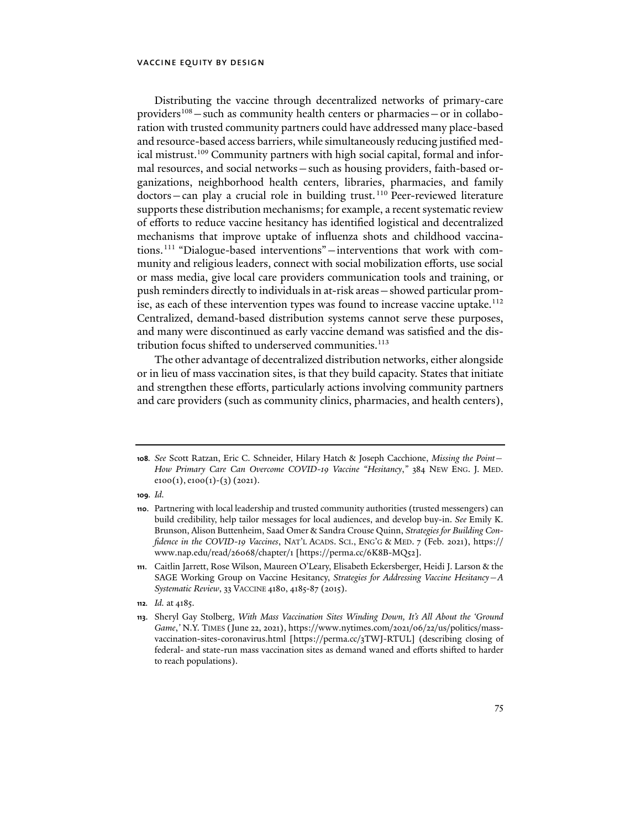Distributing the vaccine through decentralized networks of primary-care providers<sup>108</sup> – such as community health centers or pharmacies – or in collaboration with trusted community partners could have addressed many place-based and resource-based access barriers, while simultaneously reducing justified medical mistrust.<sup>109</sup> Community partners with high social capital, formal and informal resources, and social networks—such as housing providers, faith-based organizations, neighborhood health centers, libraries, pharmacies, and family  $dotors - can play a crucial role in building trust.<sup>110</sup> Peer-reviewed literature$ supports these distribution mechanisms; for example, a recent systematic review of efforts to reduce vaccine hesitancy has identified logistical and decentralized mechanisms that improve uptake of influenza shots and childhood vaccinations.111 "Dialogue-based interventions"—interventions that work with community and religious leaders, connect with social mobilization efforts, use social or mass media, give local care providers communication tools and training, or push reminders directly to individuals in at-risk areas—showed particular promise, as each of these intervention types was found to increase vaccine uptake.<sup>112</sup> Centralized, demand-based distribution systems cannot serve these purposes, and many were discontinued as early vaccine demand was satisfied and the distribution focus shifted to underserved communities.<sup>113</sup>

The other advantage of decentralized distribution networks, either alongside or in lieu of mass vaccination sites, is that they build capacity. States that initiate and strengthen these efforts, particularly actions involving community partners and care providers (such as community clinics, pharmacies, and health centers),

**109***. Id.*

**<sup>108</sup>***. See* Scott Ratzan, Eric C. Schneider, Hilary Hatch & Joseph Cacchione, *Missing the Point— How Primary Care Can Overcome COVID-19 Vaccine "Hesitancy*,*"* 384 NEW ENG. J. MED.  $e100(1), e100(1)-(3)(2021).$ 

**<sup>110</sup>**. Partnering with local leadership and trusted community authorities (trusted messengers) can build credibility, help tailor messages for local audiences, and develop buy-in. *See* Emily K. Brunson, Alison Buttenheim, Saad Omer & Sandra Crouse Quinn, *Strategies for Building Confidence in the COVID-19 Vaccines*, NAT'L ACADS. SCI., ENG'G & MED. 7 (Feb. 2021), https:// www.nap.edu/read/26068/chapter/1 [https://perma.cc/6K8B-MQ52].

**<sup>111</sup>**. Caitlin Jarrett, Rose Wilson, Maureen O'Leary, Elisabeth Eckersberger, Heidi J. Larson & the SAGE Working Group on Vaccine Hesitancy, *Strategies for Addressing Vaccine Hesitancy—A Systematic Review*, 33 VACCINE 4180, 4185-87 (2015).

**<sup>112</sup>***. Id.* at 4185.

**<sup>113</sup>**. Sheryl Gay Stolberg, *With Mass Vaccination Sites Winding Down, It's All About the 'Ground Game*,*'* N.Y. TIMES (June 22, 2021), https://www.nytimes.com/2021/06/22/us/politics/massvaccination-sites-coronavirus.html [https://perma.cc/3TWJ-RTUL] (describing closing of federal- and state-run mass vaccination sites as demand waned and efforts shifted to harder to reach populations).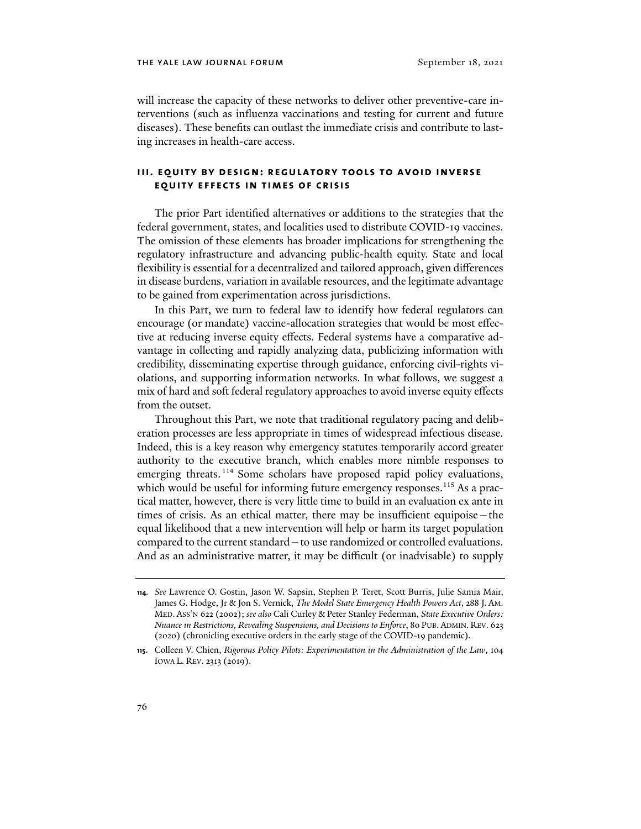will increase the capacity of these networks to deliver other preventive-care interventions (such as influenza vaccinations and testing for current and future diseases). These benefits can outlast the immediate crisis and contribute to lasting increases in health-care access.

# **iii. equity by design: regulatory tools to avoid inverse equity effects in times of crisis**

The prior Part identified alternatives or additions to the strategies that the federal government, states, and localities used to distribute COVID-19 vaccines. The omission of these elements has broader implications for strengthening the regulatory infrastructure and advancing public-health equity. State and local flexibility is essential for a decentralized and tailored approach, given differences in disease burdens, variation in available resources, and the legitimate advantage to be gained from experimentation across jurisdictions.

In this Part, we turn to federal law to identify how federal regulators can encourage (or mandate) vaccine-allocation strategies that would be most effective at reducing inverse equity effects. Federal systems have a comparative advantage in collecting and rapidly analyzing data, publicizing information with credibility, disseminating expertise through guidance, enforcing civil-rights violations, and supporting information networks. In what follows, we suggest a mix of hard and soft federal regulatory approaches to avoid inverse equity effects from the outset.

Throughout this Part, we note that traditional regulatory pacing and deliberation processes are less appropriate in times of widespread infectious disease. Indeed, this is a key reason why emergency statutes temporarily accord greater authority to the executive branch, which enables more nimble responses to emerging threats.<sup>114</sup> Some scholars have proposed rapid policy evaluations, which would be useful for informing future emergency responses.<sup>115</sup> As a practical matter, however, there is very little time to build in an evaluation ex ante in times of crisis. As an ethical matter, there may be insufficient equipoise—the equal likelihood that a new intervention will help or harm its target population compared to the current standard—to use randomized or controlled evaluations. And as an administrative matter, it may be difficult (or inadvisable) to supply

**<sup>114</sup>***. See* Lawrence O. Gostin, Jason W. Sapsin, Stephen P. Teret, Scott Burris, Julie Samia Mair, James G. Hodge, Jr & Jon S. Vernick, *The Model State Emergency Health Powers Act*, 288 J. AM. MED. ASS'N 622 (2002); *see also* Cali Curley & Peter Stanley Federman, *State Executive Orders: Nuance in Restrictions, Revealing Suspensions, and Decisions to Enforce*, 80 PUB. ADMIN. REV. 623 (2020) (chronicling executive orders in the early stage of the COVID-19 pandemic).

**<sup>115</sup>**. Colleen V. Chien, *Rigorous Policy Pilots: Experimentation in the Administration of the Law*, 104 IOWA L. REV. 2313 (2019).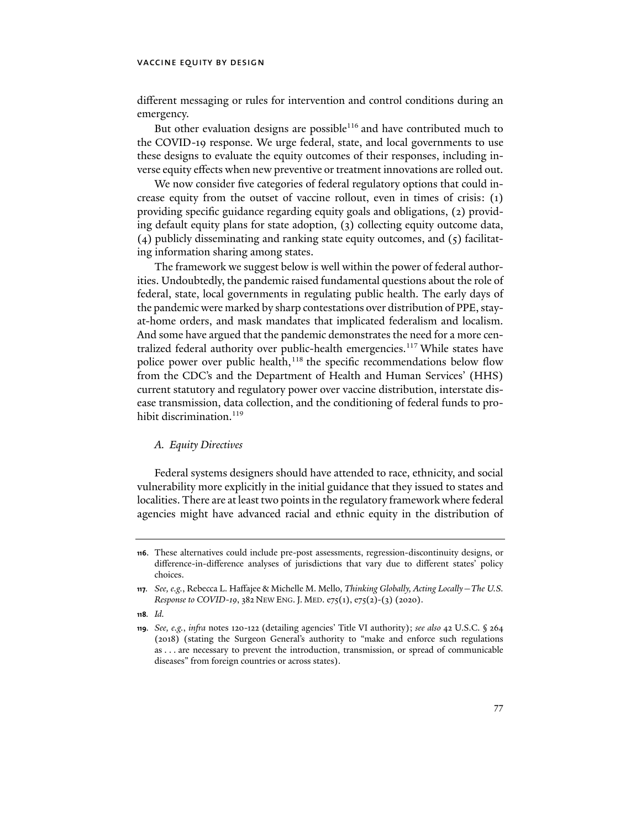different messaging or rules for intervention and control conditions during an emergency.

But other evaluation designs are possible $116$  and have contributed much to the COVID-19 response. We urge federal, state, and local governments to use these designs to evaluate the equity outcomes of their responses, including inverse equity effects when new preventive or treatment innovations are rolled out.

We now consider five categories of federal regulatory options that could increase equity from the outset of vaccine rollout, even in times of crisis: (1) providing specific guidance regarding equity goals and obligations, (2) providing default equity plans for state adoption, (3) collecting equity outcome data, (4) publicly disseminating and ranking state equity outcomes, and (5) facilitating information sharing among states.

The framework we suggest below is well within the power of federal authorities. Undoubtedly, the pandemic raised fundamental questions about the role of federal, state, local governments in regulating public health. The early days of the pandemic were marked by sharp contestations over distribution of PPE, stayat-home orders, and mask mandates that implicated federalism and localism. And some have argued that the pandemic demonstrates the need for a more centralized federal authority over public-health emergencies.<sup>117</sup> While states have police power over public health,<sup>118</sup> the specific recommendations below flow from the CDC's and the Department of Health and Human Services' (HHS) current statutory and regulatory power over vaccine distribution, interstate disease transmission, data collection, and the conditioning of federal funds to prohibit discrimination.<sup>119</sup>

#### *A. Equity Directives*

Federal systems designers should have attended to race, ethnicity, and social vulnerability more explicitly in the initial guidance that they issued to states and localities. There are at least two points in the regulatory framework where federal agencies might have advanced racial and ethnic equity in the distribution of

**<sup>116</sup>**. These alternatives could include pre-post assessments, regression-discontinuity designs, or difference-in-difference analyses of jurisdictions that vary due to different states' policy choices.

**<sup>117</sup>***. See, e.g.*, Rebecca L. Haffajee & Michelle M. Mello, *Thinking Globally, Acting Locally—The U.S. Response to COVID-19*, 382 NEW ENG. J. MED. e75(1), e75(2)-(3) (2020).

**<sup>118</sup>***. Id.*

**<sup>119</sup>***. See, e.g.*, *infra* notes 120-122 (detailing agencies' Title VI authority); *see also* 42 U.S.C. § 264 (2018) (stating the Surgeon General's authority to "make and enforce such regulations as . . . are necessary to prevent the introduction, transmission, or spread of communicable diseases" from foreign countries or across states).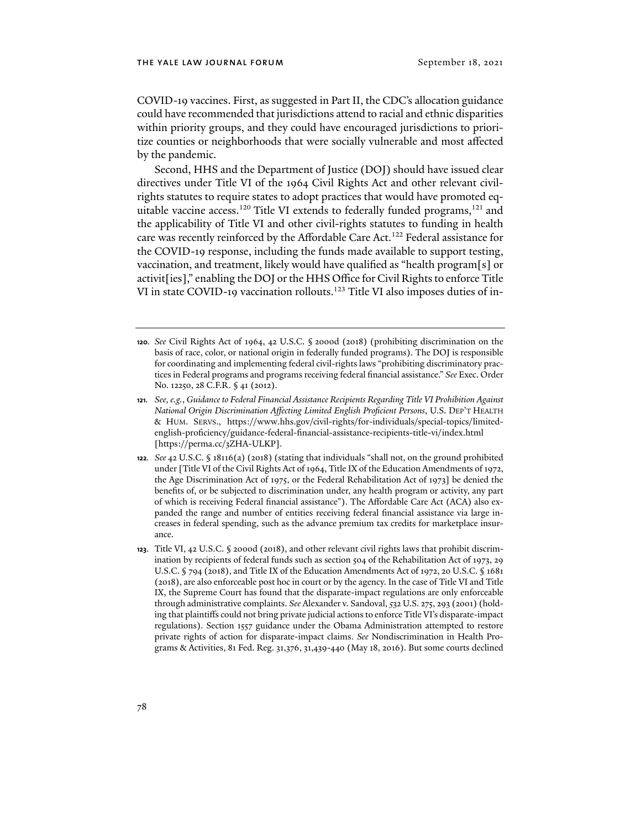COVID-19 vaccines. First, as suggested in Part II, the CDC's allocation guidance could have recommended that jurisdictions attend to racial and ethnic disparities within priority groups, and they could have encouraged jurisdictions to prioritize counties or neighborhoods that were socially vulnerable and most affected by the pandemic.

Second, HHS and the Department of Justice (DOJ) should have issued clear directives under Title VI of the 1964 Civil Rights Act and other relevant civilrights statutes to require states to adopt practices that would have promoted equitable vaccine access.<sup>120</sup> Title VI extends to federally funded programs,<sup>121</sup> and the applicability of Title VI and other civil-rights statutes to funding in health care was recently reinforced by the Affordable Care Act.<sup>122</sup> Federal assistance for the COVID-19 response, including the funds made available to support testing, vaccination, and treatment, likely would have qualified as "health program[s] or activit[ies]," enabling the DOJ or the HHS Office for Civil Rights to enforce Title VI in state COVID-19 vaccination rollouts.<sup>123</sup> Title VI also imposes duties of in-

**<sup>120</sup>***. See* Civil Rights Act of 1964, 42 U.S.C. § 2000d (2018) (prohibiting discrimination on the basis of race, color, or national origin in federally funded programs). The DOJ is responsible for coordinating and implementing federal civil-rights laws "prohibiting discriminatory practices in Federal programs and programs receiving federal financial assistance." *See* Exec. Order No. 12250, 28 C.F.R. § 41 (2012).

**<sup>121</sup>***. See, e.g.*, *Guidance to Federal Financial Assistance Recipients Regarding Title VI Prohibition Against National Origin Discrimination Affecting Limited English Proficient Persons*, U.S. DEP'T HEALTH & HUM. SERVS., https://www.hhs.gov/civil-rights/for-individuals/special-topics/limitedenglish-proficiency/guidance-federal-financial-assistance-recipients-title-vi/index.html [https://perma.cc/3ZHA-ULKP].

**<sup>122</sup>***. See* 42 U.S.C. § 18116(a) (2018) (stating that individuals "shall not, on the ground prohibited under [Title VI of the Civil Rights Act of 1964, Title IX of the Education Amendments of 1972, the Age Discrimination Act of 1975, or the Federal Rehabilitation Act of 1973] be denied the benefits of, or be subjected to discrimination under, any health program or activity, any part of which is receiving Federal financial assistance"). The Affordable Care Act (ACA) also expanded the range and number of entities receiving federal financial assistance via large increases in federal spending, such as the advance premium tax credits for marketplace insurance.

**<sup>123</sup>**. Title VI, 42 U.S.C. § 2000d (2018), and other relevant civil rights laws that prohibit discrimination by recipients of federal funds such as section 504 of the Rehabilitation Act of 1973, 29 U.S.C. § 794 (2018), and Title IX of the Education Amendments Act of 1972, 20 U.S.C. § 1681 (2018), are also enforceable post hoc in court or by the agency. In the case of Title VI and Title IX, the Supreme Court has found that the disparate-impact regulations are only enforceable through administrative complaints. *See* Alexander v. Sandoval, *5*32 U.S. 275, 293 (2001) (holding that plaintiffs could not bring private judicial actions to enforce Title VI's disparate-impact regulations). Section 1557 guidance under the Obama Administration attempted to restore private rights of action for disparate-impact claims. *See* Nondiscrimination in Health Programs & Activities, 81 Fed. Reg. 31,376, 31,439-440 (May 18, 2016). But some courts declined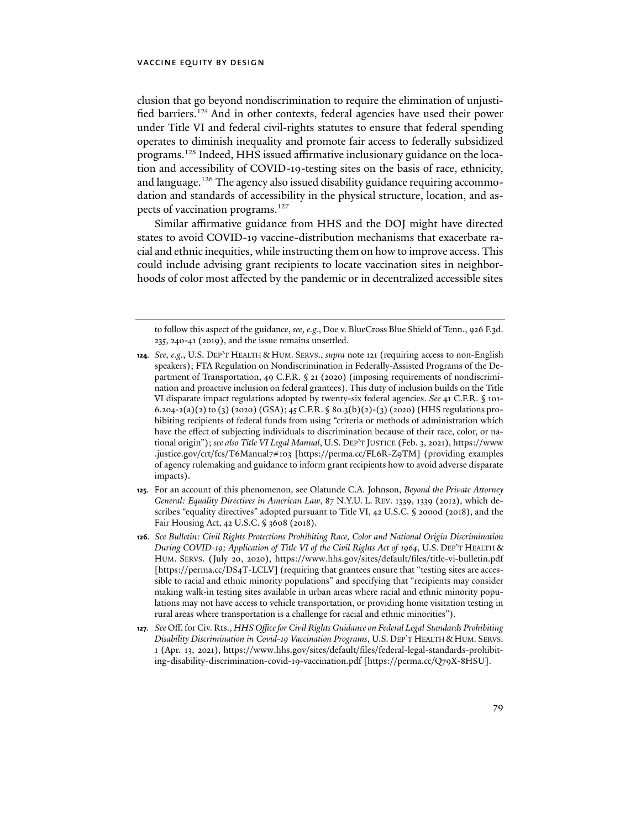clusion that go beyond nondiscrimination to require the elimination of unjustified barriers.124 And in other contexts, federal agencies have used their power under Title VI and federal civil-rights statutes to ensure that federal spending operates to diminish inequality and promote fair access to federally subsidized programs.<sup>125</sup> Indeed, HHS issued affirmative inclusionary guidance on the location and accessibility of COVID-19-testing sites on the basis of race, ethnicity, and language.<sup>126</sup> The agency also issued disability guidance requiring accommodation and standards of accessibility in the physical structure, location, and aspects of vaccination programs.<sup>127</sup>

Similar affirmative guidance from HHS and the DOJ might have directed states to avoid COVID-19 vaccine-distribution mechanisms that exacerbate racial and ethnic inequities, while instructing them on how to improve access. This could include advising grant recipients to locate vaccination sites in neighborhoods of color most affected by the pandemic or in decentralized accessible sites

- **124***. See, e.g.*, U.S. DEP'T HEALTH & HUM. SERVS., *supra* note 121 (requiring access to non-English speakers); FTA Regulation on Nondiscrimination in Federally-Assisted Programs of the Department of Transportation, 49 C.F.R. § 21 (2020) (imposing requirements of nondiscrimination and proactive inclusion on federal grantees). This duty of inclusion builds on the Title VI disparate impact regulations adopted by twenty-six federal agencies. *See* 41 C.F.R. § 101- 6.204-2(a)(2) to (3) (2020) (GSA); 45 C.F.R. § 80.3(b)(2)-(3) (2020) (HHS regulations prohibiting recipients of federal funds from using "criteria or methods of administration which have the effect of subjecting individuals to discrimination because of their race, color, or national origin"); *see also Title VI Legal Manual*, U.S. DEP'T JUSTICE (Feb. 3, 2021), [https://www](https://www.justice.gov/crt/fcs/T6Manual7#103) [.justice.gov/crt/fcs/T6Manual7#103](https://www.justice.gov/crt/fcs/T6Manual7#103) [https://perma.cc/FL6R-Z9TM] (providing examples of agency rulemaking and guidance to inform grant recipients how to avoid adverse disparate impacts).
- **125**. For an account of this phenomenon, see Olatunde C.A. Johnson, *Beyond the Private Attorney General: Equality Directives in American Law*, 87 N.Y.U. L. REV. 1339, 1339 (2012), which describes "equality directives" adopted pursuant to Title VI, 42 U.S.C. § 2000d (2018), and the Fair Housing Act, 42 U.S.C. § 3608 (2018).
- **126***. See Bulletin: Civil Rights Protections Prohibiting Race, Color and National Origin Discrimination During COVID*-*19; Application of Title VI of the Civil Rights Act of 1964*, U.S. DEP'T HEALTH & HUM. SERVS. (July 20, 2020), https://www.hhs.gov/sites/default/files/title-vi-bulletin.pdf [https://perma.cc/DS4T-LCLV] (requiring that grantees ensure that "testing sites are accessible to racial and ethnic minority populations" and specifying that "recipients may consider making walk-in testing sites available in urban areas where racial and ethnic minority populations may not have access to vehicle transportation, or providing home visitation testing in rural areas where transportation is a challenge for racial and ethnic minorities").
- **127***. See* Off. for Civ. Rts., *HHS Office for Civil Rights Guidance on Federal Legal Standards Prohibiting Disability Discrimination in Covid-19 Vaccination Programs*, U.S. DEP'T HEALTH & HUM. SERVS. 1 (Apr. 13, 2021), [https://www.hhs.gov/sites/default/files/federal-legal-standards-prohibit](https://www.hhs.gov/sites/default/files/federal-legal-standards-prohibiting-disability-discrimination-covid-19-vaccination.pdf)in[g-disability-discrimination-covid-19-vaccination.pdf \[](https://www.hhs.gov/sites/default/files/federal-legal-standards-prohibiting-disability-discrimination-covid-19-vaccination.pdf)https://perma.cc/Q79X-8HSU].

to follow this aspect of the guidance, *see, e.g.*, Doe v. BlueCross Blue Shield of Tenn., 926 F.3d. 235, 240-41 (2019), and the issue remains unsettled.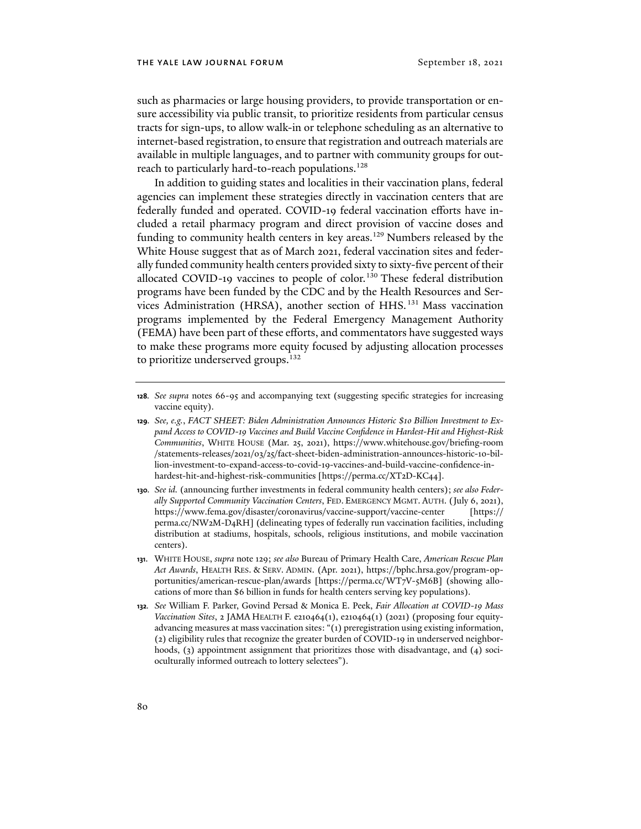such as pharmacies or large housing providers, to provide transportation or ensure accessibility via public transit, to prioritize residents from particular census tracts for sign-ups, to allow walk-in or telephone scheduling as an alternative to internet-based registration, to ensure that registration and outreach materials are available in multiple languages, and to partner with community groups for outreach to particularly hard-to-reach populations.<sup>128</sup>

In addition to guiding states and localities in their vaccination plans, federal agencies can implement these strategies directly in vaccination centers that are federally funded and operated. COVID-19 federal vaccination efforts have included a retail pharmacy program and direct provision of vaccine doses and funding to community health centers in key areas.<sup>129</sup> Numbers released by the White House suggest that as of March 2021, federal vaccination sites and federally funded community health centers provided sixty to sixty-five percent of their allocated COVID-19 vaccines to people of color.<sup>130</sup> These federal distribution programs have been funded by the CDC and by the Health Resources and Services Administration (HRSA), another section of HHS. 131 Mass vaccination programs implemented by the Federal Emergency Management Authority (FEMA) have been part of these efforts, and commentators have suggested ways to make these programs more equity focused by adjusting allocation processes to prioritize underserved groups.<sup>132</sup>

**<sup>128</sup>***. See supra* notes 66-95 and accompanying text (suggesting specific strategies for increasing vaccine equity).

**<sup>129</sup>***. See, e.g.*, *FACT SHEET: Biden Administration Announces Historic \$10 Billion Investment to Expand Access to COVID-19 Vaccines and Build Vaccine Confidence in Hardest-Hit and Highest-Risk Communities*, WHITE HOUSE (Mar. 25, 2021), [https://www.whitehouse.gov/briefing-room](https://www.whitehouse.gov/briefing-room/statements-releases/2021/03/25/fact-sheet-biden-administration-announces-historic-10-billion-investment-to-expand-access-to-covid-19-vaccines-and-build-vaccine-confidence-in-hardest-hit-and-highest-risk-communities/) [/statements-releases/2021/03/25/fact-sheet-biden-administration-announces-historic-10-bil](https://www.whitehouse.gov/briefing-room/statements-releases/2021/03/25/fact-sheet-biden-administration-announces-historic-10-billion-investment-to-expand-access-to-covid-19-vaccines-and-build-vaccine-confidence-in-hardest-hit-and-highest-risk-communities/)lion-[investment-to-expand-access-to-covid-19-vaccines-and-build-vaccine-confidence-in](https://www.whitehouse.gov/briefing-room/statements-releases/2021/03/25/fact-sheet-biden-administration-announces-historic-10-billion-investment-to-expand-access-to-covid-19-vaccines-and-build-vaccine-confidence-in-hardest-hit-and-highest-risk-communities/)[hardest-hit-and-highest-risk-communities](https://www.whitehouse.gov/briefing-room/statements-releases/2021/03/25/fact-sheet-biden-administration-announces-historic-10-billion-investment-to-expand-access-to-covid-19-vaccines-and-build-vaccine-confidence-in-hardest-hit-and-highest-risk-communities/) [https://perma.cc/XT2D-KC44].

**<sup>130</sup>***. See id.* (announcing further investments in federal community health centers); *see also Federally Supported Community Vaccination Centers*, FED. EMERGENCY MGMT. AUTH. (July 6, 2021), https://www.fema.gov/disaster/coronavirus/vaccine-support/vaccine-center [https:// perma.cc/NW2M-D4RH] (delineating types of federally run vaccination facilities, including distribution at stadiums, hospitals, schools, religious institutions, and mobile vaccination centers).

**<sup>131</sup>**. WHITE HOUSE, *supra* note 129; *see also* Bureau of Primary Health Care, *American Rescue Plan Act Awards*, HEALTH RES. & SERV. ADMIN. (Apr. 2021)[, https://bphc.hrsa.gov/program](https://bphc.hrsa.gov/program-opportunities/american-rescue-plan/awards)-op[portunities/american-rescue-plan/awards \[](https://bphc.hrsa.gov/program-opportunities/american-rescue-plan/awards)https://perma.cc/WT7V-5M6B] (showing allocations of more than \$6 billion in funds for health centers serving key populations).

**<sup>132</sup>***. See* William F. Parker, Govind Persad & Monica E. Peek, *Fair Allocation at COVID-19 Mass Vaccination Sites*, 2 JAMA HEALTH F. e210464(1), e210464(1) (2021) (proposing four equityadvancing measures at mass vaccination sites: "(1) preregistration using existing information, (2) eligibility rules that recognize the greater burden of COVID-19 in underserved neighborhoods, (3) appointment assignment that prioritizes those with disadvantage, and (4) socioculturally informed outreach to lottery selectees").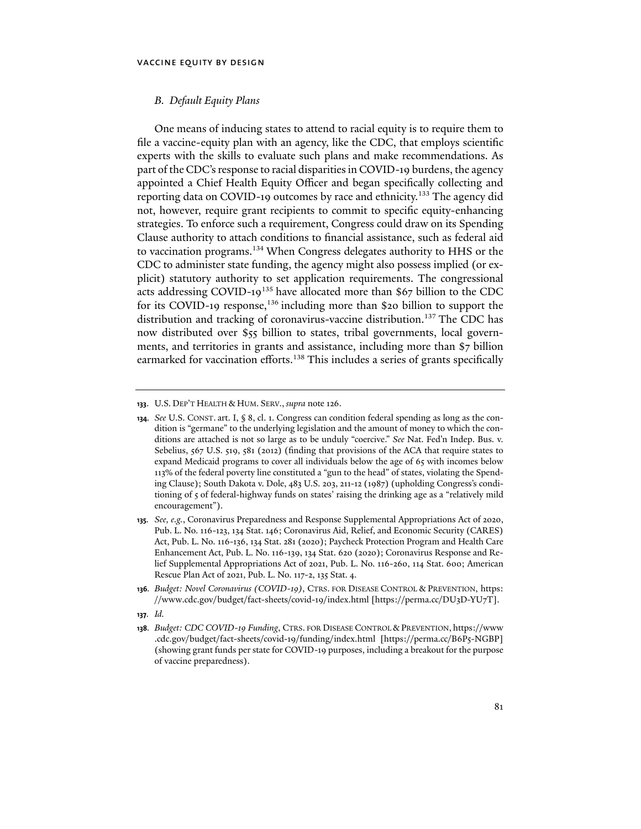#### *B. Default Equity Plans*

One means of inducing states to attend to racial equity is to require them to file a vaccine-equity plan with an agency, like the CDC, that employs scientific experts with the skills to evaluate such plans and make recommendations. As part of the CDC's response to racial disparities in COVID-19 burdens, the agency appointed a Chief Health Equity Officer and began specifically collecting and reporting data on COVID-19 outcomes by race and ethnicity.133 The agency did not, however, require grant recipients to commit to specific equity-enhancing strategies. To enforce such a requirement, Congress could draw on its Spending Clause authority to attach conditions to financial assistance, such as federal aid to vaccination programs.<sup>134</sup> When Congress delegates authority to HHS or the CDC to administer state funding, the agency might also possess implied (or explicit) statutory authority to set application requirements. The congressional acts addressing COVID-19<sup>135</sup> have allocated more than \$67 billion to the CDC for its COVID-19 response,<sup>136</sup> including more than \$20 billion to support the distribution and tracking of coronavirus-vaccine distribution.<sup>137</sup> The CDC has now distributed over \$55 billion to states, tribal governments, local governments, and territories in grants and assistance, including more than \$7 billion earmarked for vaccination efforts.<sup>138</sup> This includes a series of grants specifically

- **135***. See, e.g.*, Coronavirus Preparedness and Response Supplemental Appropriations Act of 2020, Pub. L. No. 116-123, 134 Stat. 146; Coronavirus Aid, Relief, and Economic Security (CARES) Act, Pub. L. No. 116-136, 134 Stat. 281 (2020); Paycheck Protection Program and Health Care Enhancement Act, Pub. L. No. 116-139, 134 Stat. 620 (2020); Coronavirus Response and Relief Supplemental Appropriations Act of 2021, Pub. L. No. 116-260, 114 Stat. 600; American Rescue Plan Act of 2021, Pub. L. No. 117-2, 135 Stat. 4.
- **136***. Budget: Novel Coronavirus (COVID-19)*, CTRS. FOR DISEASE CONTROL & PREVENTION, [https:](https://www.cdc.gov/budget/fact-sheets/covid-19/index.html) [//www.cdc.gov/budget/fact-sheets/covid-19/index.html](https://www.cdc.gov/budget/fact-sheets/covid-19/index.html) [https://perma.cc/DU3D-YU7T].
- **137***. Id.*
- **138***. Budget: CDC COVID-19 Funding*, CTRS. FOR DISEASE CONTROL & PREVENTION, [https://www](https://www.cdc.gov/budget/fact-sheets/covid-19/funding/index.html) [.cdc.gov/budget/fact-sheets/covid-19/funding/index.html](https://www.cdc.gov/budget/fact-sheets/covid-19/funding/index.html) [https://perma.cc/B6P5-NGBP] (showing grant funds per state for COVID-19 purposes, including a breakout for the purpose of vaccine preparedness).

**<sup>133</sup>**. U.S. DEP'T HEALTH & HUM. SERV., *supra* note 126.

**<sup>134</sup>***. See* U.S. CONST. art. I, § 8, cl. 1. Congress can condition federal spending as long as the condition is "germane" to the underlying legislation and the amount of money to which the conditions are attached is not so large as to be unduly "coercive." *See* Nat. Fed'n Indep. Bus. v. Sebelius, 567 U.S. 519, 581 (2012) (finding that provisions of the ACA that require states to expand Medicaid programs to cover all individuals below the age of 65 with incomes below 113% of the federal poverty line constituted a "gun to the head" of states, violating the Spending Clause); South Dakota v. Dole, 483 U.S. 203, 211-12 (1987) (upholding Congress's conditioning of 5 of federal-highway funds on states' raising the drinking age as a "relatively mild encouragement").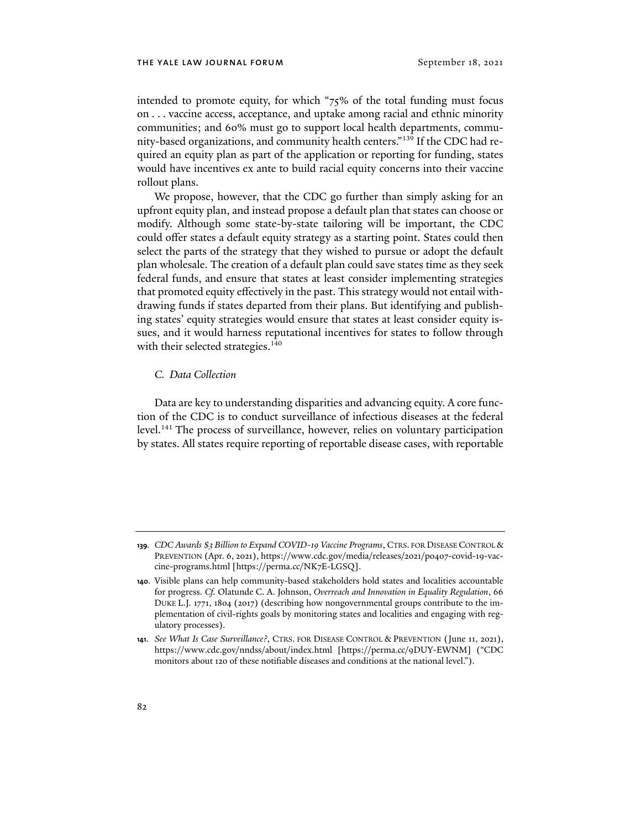intended to promote equity, for which "75% of the total funding must focus on . . . vaccine access, acceptance, and uptake among racial and ethnic minority communities; and 60% must go to support local health departments, community-based organizations, and community health centers."139 If the CDC had required an equity plan as part of the application or reporting for funding, states would have incentives ex ante to build racial equity concerns into their vaccine rollout plans.

We propose, however, that the CDC go further than simply asking for an upfront equity plan, and instead propose a default plan that states can choose or modify. Although some state-by-state tailoring will be important, the CDC could offer states a default equity strategy as a starting point. States could then select the parts of the strategy that they wished to pursue or adopt the default plan wholesale. The creation of a default plan could save states time as they seek federal funds, and ensure that states at least consider implementing strategies that promoted equity effectively in the past. This strategy would not entail withdrawing funds if states departed from their plans. But identifying and publishing states' equity strategies would ensure that states at least consider equity issues, and it would harness reputational incentives for states to follow through with their selected strategies.<sup>140</sup>

## *C. Data Collection*

Data are key to understanding disparities and advancing equity. A core function of the CDC is to conduct surveillance of infectious diseases at the federal level.<sup>141</sup> The process of surveillance, however, relies on voluntary participation by states. All states require reporting of reportable disease cases, with reportable

**<sup>139</sup>***. CDC Awards \$3 Billion to Expand COVID-19 Vaccine Programs*, CTRS. FOR DISEASE CONTROL & PREVENTION (Apr. 6, 2021), [https://www.cdc.gov/media/releases/2021/p0407-covid-19-vac](https://www.cdc.gov/media/releases/2021/p0407-covid-19-vaccine-programs.html)[cine-programs.html](https://www.cdc.gov/media/releases/2021/p0407-covid-19-vaccine-programs.html) [https://perma.cc/NK7E-LGSQ].

**<sup>140</sup>**. Visible plans can help community-based stakeholders hold states and localities accountable for progress. *Cf.* Olatunde C. A. Johnson, *Overreach and Innovation in Equality Regulation*, 66 DUKE L.J. 1771, 1804 (2017) (describing how nongovernmental groups contribute to the implementation of civil-rights goals by monitoring states and localities and engaging with regulatory processes).

**<sup>141</sup>**. *See What Is Case Surveillance?*, CTRS. FOR DISEASE CONTROL & PREVENTION (June 11, 2021), https://www.cdc.gov/nndss/about/index.html [https://perma.cc/9DUY-EWNM] ("CDC monitors about 120 of these notifiable diseases and conditions at the national level.").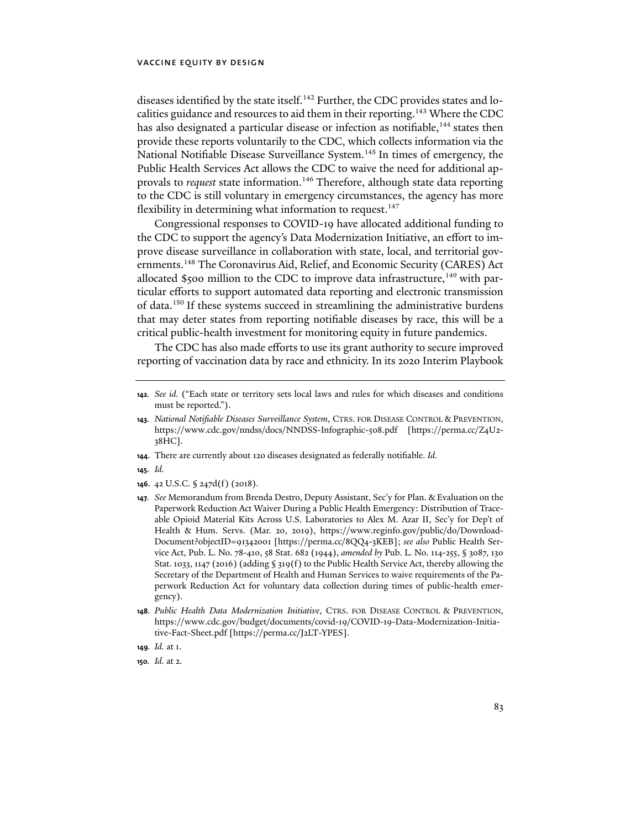diseases identified by the state itself.<sup>142</sup> Further, the CDC provides states and localities guidance and resources to aid them in their reporting.<sup>143</sup> Where the CDC has also designated a particular disease or infection as notifiable,<sup>144</sup> states then provide these reports voluntarily to the CDC, which collects information via the National Notifiable Disease Surveillance System.<sup>145</sup> In times of emergency, the Public Health Services Act allows the CDC to waive the need for additional approvals to *request* state information.<sup>146</sup> Therefore, although state data reporting to the CDC is still voluntary in emergency circumstances, the agency has more flexibility in determining what information to request.<sup>147</sup>

Congressional responses to COVID-19 have allocated additional funding to the CDC to support the agency's Data Modernization Initiative, an effort to improve disease surveillance in collaboration with state, local, and territorial governments.148 The Coronavirus Aid, Relief, and Economic Security (CARES) Act allocated \$500 million to the CDC to improve data infrastructure,<sup>149</sup> with particular efforts to support automated data reporting and electronic transmission of data.150 If these systems succeed in streamlining the administrative burdens that may deter states from reporting notifiable diseases by race, this will be a critical public-health investment for monitoring equity in future pandemics.

The CDC has also made efforts to use its grant authority to secure improved reporting of vaccination data by race and ethnicity. In its 2020 Interim Playbook

- **144**. There are currently about 120 diseases designated as federally notifiable. *Id.*
- **145***. Id.*
- **146**. 42 U.S.C. § 247d(f) (2018).
- **147***. See* Memorandum from Brenda Destro, Deputy Assistant, Sec'y for Plan. & Evaluation on the Paperwork Reduction Act Waiver During a Public Health Emergency: Distribution of Traceable Opioid Material Kits Across U.S. Laboratories to Alex M. Azar II, Sec'y for Dep't of Health & Hum. Servs. (Mar. 20, 2019), https://www.reginfo.gov/public/do/Download-Document?objectID=91342001 [https://perma.cc/8QQ4-3KEB]; *see also* Public Health Service Act, Pub. L. No. 78-410, 58 Stat. 682 (1944), *amended by* Pub. L. No. 114-255, § 3087, 130 Stat. 1033, 1147 (2016) (adding § 319(f) to the Public Health Service Act, thereby allowing the Secretary of the Department of Health and Human Services to waive requirements of the Paperwork Reduction Act for voluntary data collection during times of public-health emergency).
- **148***. Public Health Data Modernization Initiative*, CTRS. FOR DISEASE CONTROL & PREVENTION, [https://www.cdc.gov/budget/documents/covid-19/COVID-19-Data-Modernization-Initia](https://www.cdc.gov/budget/documents/covid-19/COVID-19-Data-Modernization-Initiative-Fact-Sheet.pdf)[tive-Fact-Sheet.pdf](https://www.cdc.gov/budget/documents/covid-19/COVID-19-Data-Modernization-Initiative-Fact-Sheet.pdf) [https://perma.cc/J2LT-YPES].
- **149***. Id.* at 1.

**<sup>142</sup>***. See id.* ("Each state or territory sets local laws and rules for which diseases and conditions must be reported.").

**<sup>143</sup>***. National Notifiable Diseases Surveillance System*, CTRS. FOR DISEASE CONTROL & PREVENTION, https://www.cdc.gov/nndss/docs/NNDSS-Infographic-508.pdf [https://perma.cc/Z4U2- 38HC].

**<sup>150</sup>***. Id.* at 2.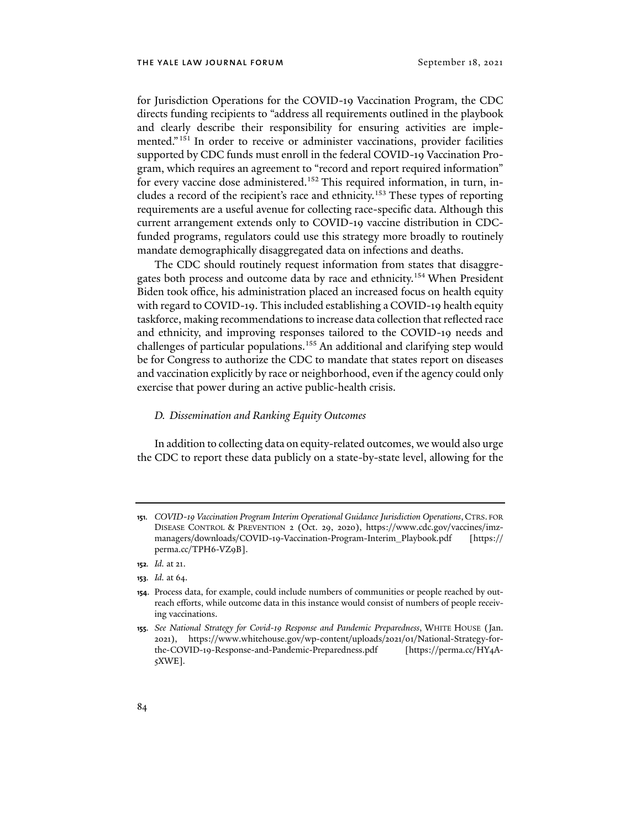for Jurisdiction Operations for the COVID-19 Vaccination Program, the CDC directs funding recipients to "address all requirements outlined in the playbook and clearly describe their responsibility for ensuring activities are implemented."151 In order to receive or administer vaccinations, provider facilities supported by CDC funds must enroll in the federal COVID-19 Vaccination Program, which requires an agreement to "record and report required information" for every vaccine dose administered.<sup>152</sup> This required information, in turn, includes a record of the recipient's race and ethnicity.<sup>153</sup> These types of reporting requirements are a useful avenue for collecting race-specific data. Although this current arrangement extends only to COVID-19 vaccine distribution in CDCfunded programs, regulators could use this strategy more broadly to routinely mandate demographically disaggregated data on infections and deaths.

The CDC should routinely request information from states that disaggregates both process and outcome data by race and ethnicity.154 When President Biden took office, his administration placed an increased focus on health equity with regard to COVID-19. This included establishing a COVID-19 health equity taskforce, making recommendations to increase data collection that reflected race and ethnicity, and improving responses tailored to the COVID-19 needs and challenges of particular populations.155 An additional and clarifying step would be for Congress to authorize the CDC to mandate that states report on diseases and vaccination explicitly by race or neighborhood, even if the agency could only exercise that power during an active public-health crisis.

#### *D. Dissemination and Ranking Equity Outcomes*

In addition to collecting data on equity-related outcomes, we would also urge the CDC to report these data publicly on a state-by-state level, allowing for the

**<sup>151</sup>***. COVID-19 Vaccination Program Interim Operational Guidance Jurisdiction Operations*,CTRS. FOR DISEASE CONTROL & PREVENTION 2 (Oct. 29, 2020), https://www.cdc.gov/vaccines/imzmanagers/downloads/COVID-19-Vaccination-Program-Interim\_Playbook.pdf [https:// perma.cc/TPH6-VZ9B].

**<sup>152</sup>***. Id.* at 21.

**<sup>153</sup>***. Id.* at 64.

**<sup>154</sup>**. Process data, for example, could include numbers of communities or people reached by outreach efforts, while outcome data in this instance would consist of numbers of people receiving vaccinations.

**<sup>155</sup>***. See National Strategy for Covid-19 Response and Pandemic Preparedness*, WHITE HOUSE (Jan. 2021), https://www.whitehouse.gov/wp-content/uploads/2021/01/National-Strategy-forthe-COVID-19-Response-and-Pandemic-Preparedness.pdf [https://perma.cc/HY4A-5XWE]*.*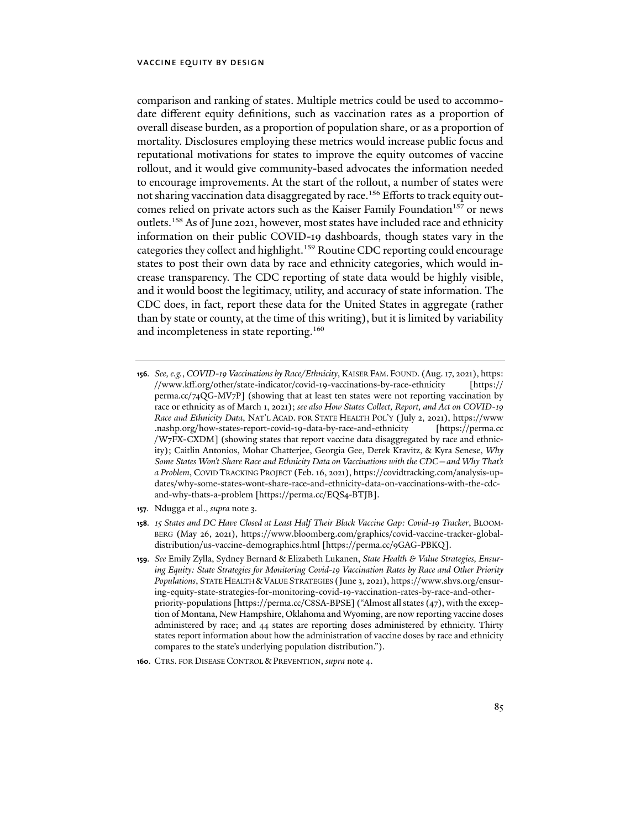comparison and ranking of states. Multiple metrics could be used to accommodate different equity definitions, such as vaccination rates as a proportion of overall disease burden, as a proportion of population share, or as a proportion of mortality. Disclosures employing these metrics would increase public focus and reputational motivations for states to improve the equity outcomes of vaccine rollout, and it would give community-based advocates the information needed to encourage improvements. At the start of the rollout, a number of states were not sharing vaccination data disaggregated by race.<sup>156</sup> Efforts to track equity outcomes relied on private actors such as the Kaiser Family Foundation<sup>157</sup> or news outlets.158 As of June 2021, however, most states have included race and ethnicity information on their public COVID-19 dashboards, though states vary in the categories they collect and highlight.<sup>159</sup> Routine CDC reporting could encourage states to post their own data by race and ethnicity categories, which would increase transparency. The CDC reporting of state data would be highly visible, and it would boost the legitimacy, utility, and accuracy of state information. The CDC does, in fact, report these data for the United States in aggregate (rather than by state or county, at the time of this writing), but it is limited by variability and incompleteness in state reporting.<sup>160</sup>

- **156***. See, e.g.*, *COVID-19 Vaccinations by Race/Ethnicity*, KAISER FAM. FOUND. (Aug. 17, 2021), [https:](https://www.kff.org/other/state-indicator/covid-19-vaccinations-by-race-ethnicity/?currentTimeframe=0&sortModel=%7B%22colId%22:%22Location%22,%22sort%22:%22asc%22%7D) //www.kff.org/other/state-indicator/covid-19-vaccinations-by-race-ethnicity [https:// perma.cc/74QG-MV7P] (showing that at least ten states were not reporting vaccination by race or ethnicity as of March 1, 2021); *see also How States Collect, Report, and Act on COVID-19 Race and Ethnicity Data*, NAT'L ACAD. FOR STATE HEALTH POL'Y (July 2, 2021)[, https://www](https://www.nashp.org/how-states-report-covid-19-data-by-race-and-ethnicity/) [.nashp.org/how-states-report-covid-19-data-by-race-and-ethnicity](https://www.nashp.org/how-states-report-covid-19-data-by-race-and-ethnicity/) [https://perma.cc /W7FX-CXDM] (showing states that report vaccine data disaggregated by race and ethnicity); Caitlin Antonios, Mohar Chatterjee, Georgia Gee, Derek Kravitz, & Kyra Senese, *Why Some States Won't Share Race and Ethnicity Data on Vaccinations with the CDC—and Why That's a Problem*, COVID TRACKING PROJECT (Feb. 16, 2021), [https://covidtracking.com/analysis-up](https://covidtracking.com/analysis-updates/why-some-states-wont-share-race-and-ethnicity-data-on-vaccinations-with-the-cdc-and-why-thats-a-problem)[dates/why-some-states-wont-share-race-and-ethnicity-data-on-vaccinations-with-the-cdc](https://covidtracking.com/analysis-updates/why-some-states-wont-share-race-and-ethnicity-data-on-vaccinations-with-the-cdc-and-why-thats-a-problem)[and-why-thats-a-problem \[](https://covidtracking.com/analysis-updates/why-some-states-wont-share-race-and-ethnicity-data-on-vaccinations-with-the-cdc-and-why-thats-a-problem)https://perma.cc/EQS4-BTJB].
- **157**. Ndugga et al., *supra* note 3.
- **158***. 15 States and DC Have Closed at Least Half Their Black Vaccine Gap: Covid-19 Tracker*, BLOOM-BERG (May 26, 2021), https://www.bloomberg.com/graphics/covid-vaccine-tracker-globaldistribution/us-vaccine-demographics.html [https://perma.cc/9GAG-PBKQ].
- **159***. See* Emily Zylla, Sydney Bernard & Elizabeth Lukanen, *State Health & Value Strategies, Ensuring Equity: State Strategies for Monitoring Covid-19 Vaccination Rates by Race and Other Priority Populations*, STATE HEALTH &VALUE STRATEGIES (June 3, 2021), [https://www.shvs.org/ensur](https://www.shvs.org/ensuring-equity-state-strategies-for-monitoring-covid-19-vaccination-rates-by-race-and-other-priority-populations/)ing-[equity-state-strategies-for-monitoring-covid-19-vaccination-rates-by-race-and-other](https://www.shvs.org/ensuring-equity-state-strategies-for-monitoring-covid-19-vaccination-rates-by-race-and-other-priority-populations/)[priority-populations \[](https://www.shvs.org/ensuring-equity-state-strategies-for-monitoring-covid-19-vaccination-rates-by-race-and-other-priority-populations/)https://perma.cc/C8SA-BPSE] ("Almost all states (47), with the exception of Montana, New Hampshire, Oklahoma and Wyoming, are now reporting vaccine doses administered by race; and 44 states are reporting doses administered by ethnicity. Thirty states report information about how the administration of vaccine doses by race and ethnicity compares to the state's underlying population distribution.").
- **160**. CTRS. FOR DISEASE CONTROL & PREVENTION, *supra* note 4.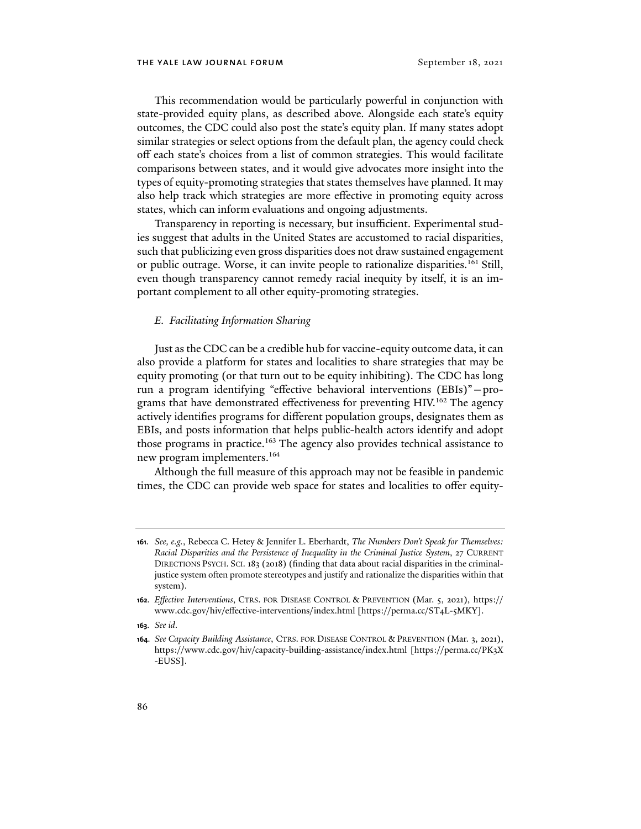This recommendation would be particularly powerful in conjunction with state-provided equity plans, as described above. Alongside each state's equity outcomes, the CDC could also post the state's equity plan. If many states adopt similar strategies or select options from the default plan, the agency could check off each state's choices from a list of common strategies. This would facilitate comparisons between states, and it would give advocates more insight into the types of equity-promoting strategies that states themselves have planned. It may also help track which strategies are more effective in promoting equity across states, which can inform evaluations and ongoing adjustments.

Transparency in reporting is necessary, but insufficient. Experimental studies suggest that adults in the United States are accustomed to racial disparities, such that publicizing even gross disparities does not draw sustained engagement or public outrage. Worse, it can invite people to rationalize disparities.<sup>161</sup> Still, even though transparency cannot remedy racial inequity by itself, it is an important complement to all other equity-promoting strategies.

#### *E. Facilitating Information Sharing*

Just as the CDC can be a credible hub for vaccine-equity outcome data, it can also provide a platform for states and localities to share strategies that may be equity promoting (or that turn out to be equity inhibiting). The CDC has long run a program identifying "effective behavioral interventions (EBIs)"—programs that have demonstrated effectiveness for preventing HIV.<sup>162</sup> The agency actively identifies programs for different population groups, designates them as EBIs, and posts information that helps public-health actors identify and adopt those programs in practice.<sup>163</sup> The agency also provides technical assistance to new program implementers.164

Although the full measure of this approach may not be feasible in pandemic times, the CDC can provide web space for states and localities to offer equity-

**163***. See id*.

**<sup>161</sup>***. See, e.g.*, Rebecca C. Hetey & Jennifer L. Eberhardt, *The Numbers Don't Speak for Themselves: Racial Disparities and the Persistence of Inequality in the Criminal Justice System*, 27 CURRENT DIRECTIONS PSYCH. SCI. 183 (2018) (finding that data about racial disparities in the criminaljustice system often promote stereotypes and justify and rationalize the disparities within that system).

**<sup>162</sup>***. Effective Interventions*, CTRS. FOR DISEASE CONTROL & PREVENTION (Mar. 5, 2021), https:// www.cdc.gov/hiv/effective-interventions/index.html [https://perma.cc/ST4L-5MKY].

**<sup>164</sup>***. See Capacity Building Assistance*, CTRS. FOR DISEASE CONTROL & PREVENTION (Mar. 3, 2021), https://www.cdc.gov/hiv/capacity-building-assistance/index.html [https://perma.cc/PK3X -EUSS].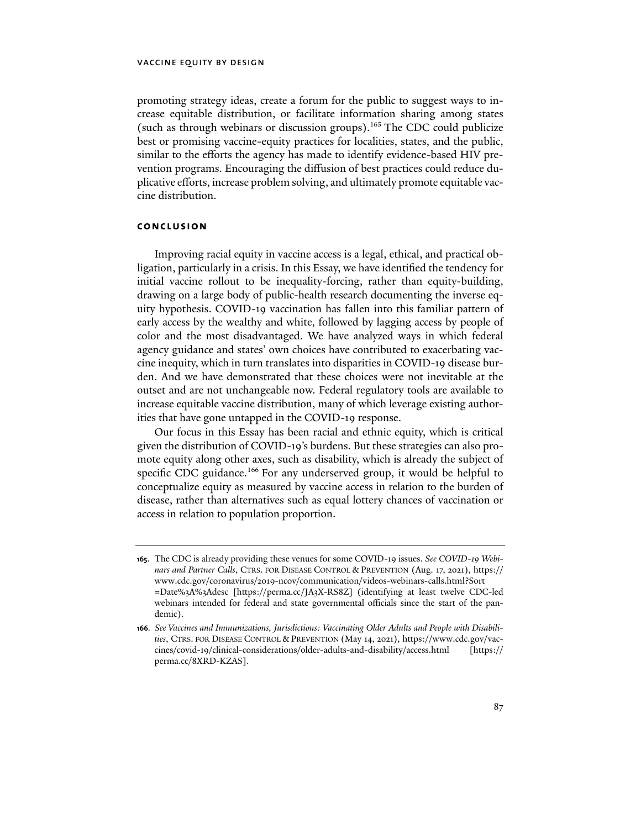promoting strategy ideas, create a forum for the public to suggest ways to increase equitable distribution, or facilitate information sharing among states (such as through webinars or discussion groups).165 The CDC could publicize best or promising vaccine-equity practices for localities, states, and the public, similar to the efforts the agency has made to identify evidence-based HIV prevention programs. Encouraging the diffusion of best practices could reduce duplicative efforts, increase problem solving, and ultimately promote equitable vaccine distribution.

#### **conclusion**

Improving racial equity in vaccine access is a legal, ethical, and practical obligation, particularly in a crisis. In this Essay, we have identified the tendency for initial vaccine rollout to be inequality-forcing, rather than equity-building, drawing on a large body of public-health research documenting the inverse equity hypothesis. COVID-19 vaccination has fallen into this familiar pattern of early access by the wealthy and white, followed by lagging access by people of color and the most disadvantaged. We have analyzed ways in which federal agency guidance and states' own choices have contributed to exacerbating vaccine inequity, which in turn translates into disparities in COVID-19 disease burden. And we have demonstrated that these choices were not inevitable at the outset and are not unchangeable now. Federal regulatory tools are available to increase equitable vaccine distribution, many of which leverage existing authorities that have gone untapped in the COVID-19 response.

Our focus in this Essay has been racial and ethnic equity, which is critical given the distribution of COVID-19's burdens. But these strategies can also promote equity along other axes, such as disability, which is already the subject of specific CDC guidance.<sup>166</sup> For any underserved group, it would be helpful to conceptualize equity as measured by vaccine access in relation to the burden of disease, rather than alternatives such as equal lottery chances of vaccination or access in relation to population proportion.

**<sup>165</sup>**. The CDC is already providing these venues for some COVID-19 issues. *See COVID-19 Webinars and Partner Calls*, CTRS. FOR DISEASE CONTROL & PREVENTION (Aug. 17, 2021), https:// www.cdc.gov/coronavirus/2019-ncov/communication/videos-webinars-calls.html?Sort =Date%3A%3Adesc [https://perma.cc/JA3X-RS8Z] (identifying at least twelve CDC-led webinars intended for federal and state governmental officials since the start of the pandemic).

**<sup>166</sup>***. See Vaccines and Immunizations, Jurisdictions: Vaccinating Older Adults and People with Disabilities*, CTRS. FOR DISEASE CONTROL & PREVENTION (May 14, 2021), [https://www.cdc.gov/vac](https://www.cdc.gov/vaccines/covid-19/clinical-considerations/older-adults-and-disability/access.html)[cines/covid-19/clinical-considerations/older-adults-and-disability/access.html](https://www.cdc.gov/vaccines/covid-19/clinical-considerations/older-adults-and-disability/access.html) [https:// perma.cc/8XRD-KZAS].